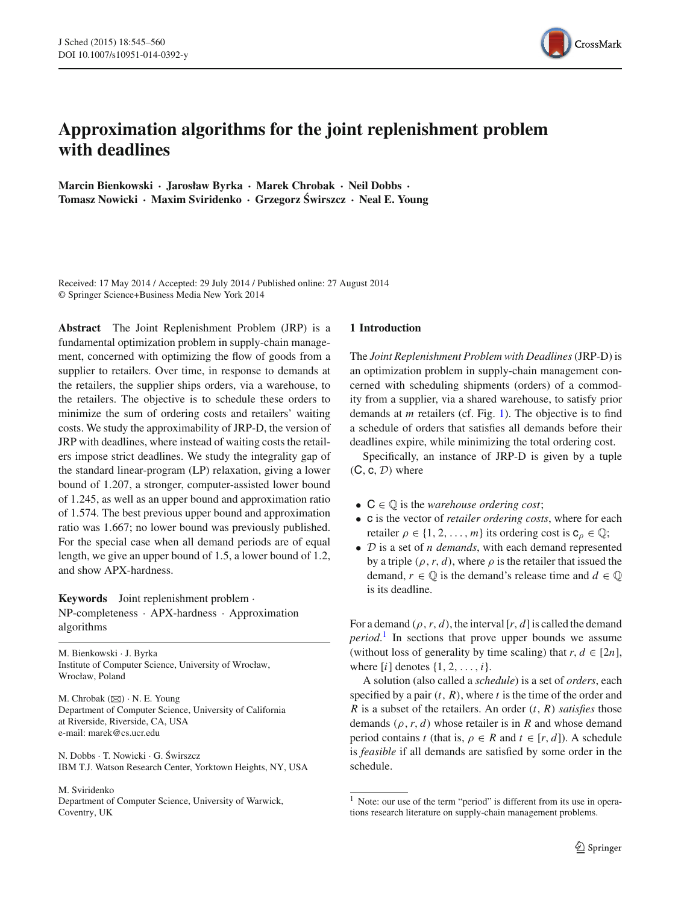

# **Approximation algorithms for the joint replenishment problem with deadlines**

**Marcin Bienkowski · Jarosław Byrka · Marek Chrobak · Neil Dobbs · Tomasz Nowicki · Maxim Sviridenko · Grzegorz Swirszcz ´ · Neal E. Young**

Received: 17 May 2014 / Accepted: 29 July 2014 / Published online: 27 August 2014 © Springer Science+Business Media New York 2014

**Abstract** The Joint Replenishment Problem (JRP) is a fundamental optimization problem in supply-chain management, concerned with optimizing the flow of goods from a supplier to retailers. Over time, in response to demands at the retailers, the supplier ships orders, via a warehouse, to the retailers. The objective is to schedule these orders to minimize the sum of ordering costs and retailers' waiting costs. We study the approximability of JRP-D, the version of JRP with deadlines, where instead of waiting costs the retailers impose strict deadlines. We study the integrality gap of the standard linear-program (LP) relaxation, giving a lower bound of 1.207, a stronger, computer-assisted lower bound of 1.245, as well as an upper bound and approximation ratio of 1.574. The best previous upper bound and approximation ratio was 1.667; no lower bound was previously published. For the special case when all demand periods are of equal length, we give an upper bound of 1.5, a lower bound of 1.2, and show APX-hardness.

**Keywords** Joint replenishment problem · NP-completeness · APX-hardness · Approximation algorithms

M. Bienkowski · J. Byrka Institute of Computer Science, University of Wrocław, Wrocław, Poland

M. Chrobak  $(\boxtimes) \cdot N$ . E. Young Department of Computer Science, University of California at Riverside, Riverside, CA, USA e-mail: marek@cs.ucr.edu

N. Dobbs · T. Nowicki · G. Swirszcz ´ IBM T.J. Watson Research Center, Yorktown Heights, NY, USA

M. Sviridenko Department of Computer Science, University of Warwick, Coventry, UK

# <span id="page-0-1"></span>**1 Introduction**

The *Joint Replenishment Problem with Deadlines*(JRP-D) is an optimization problem in supply-chain management concerned with scheduling shipments (orders) of a commodity from a supplier, via a shared warehouse, to satisfy prior demands at *m* retailers (cf. Fig. [1\)](#page-1-0). The objective is to find a schedule of orders that satisfies all demands before their deadlines expire, while minimizing the total ordering cost.

Specifically, an instance of JRP-D is given by a tuple  $(C, c, D)$  where

- $C \in \mathbb{Q}$  is the *warehouse ordering cost*;
- c is the vector of *retailer ordering costs*, where for each retailer  $\rho \in \{1, 2, ..., m\}$  its ordering cost is  $c_{\rho} \in \mathbb{Q}$ ;
- D is a set of *n demands*, with each demand represented by a triple  $(\rho, r, d)$ , where  $\rho$  is the retailer that issued the demand,  $r \in \mathbb{Q}$  is the demand's release time and  $d \in \mathbb{Q}$ is its deadline.

For a demand  $(\rho, r, d)$ , the interval [*r*, *d*] is called the demand *period*. [1](#page-0-0) In sections that prove upper bounds we assume (without loss of generality by time scaling) that  $r, d \in [2n]$ , where  $[i]$  denotes  $\{1, 2, \ldots, i\}$ .

A solution (also called a *schedule*) is a set of *orders*, each specified by a pair (*t*, *R*), where *t* is the time of the order and *R* is a subset of the retailers. An order (*t*, *R*) *satisfies* those demands  $(\rho, r, d)$  whose retailer is in *R* and whose demand period contains *t* (that is,  $\rho \in R$  and  $t \in [r, d]$ ). A schedule is *feasible* if all demands are satisfied by some order in the schedule.

<span id="page-0-0"></span><sup>&</sup>lt;sup>1</sup> Note: our use of the term "period" is different from its use in operations research literature on supply-chain management problems.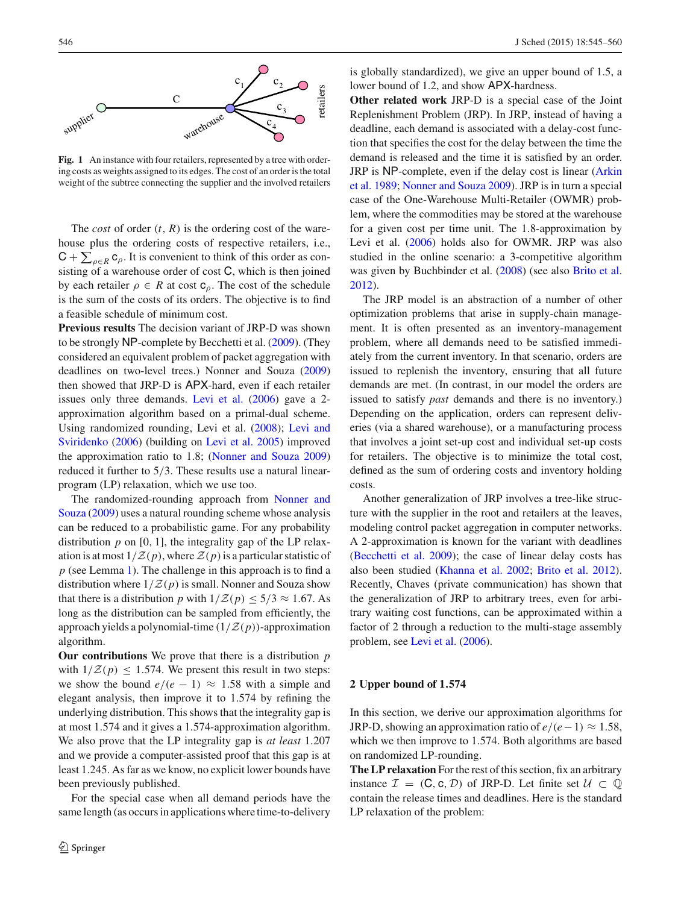

<span id="page-1-0"></span>Fig. 1 An instance with four retailers, represented by a tree with ordering costs as weights assigned to its edges. The cost of an order is the total weight of the subtree connecting the supplier and the involved retailers

The *cost* of order  $(t, R)$  is the ordering cost of the warehouse plus the ordering costs of respective retailers, i.e.,  $C + \sum_{\rho \in R} c_{\rho}$ . It is convenient to think of this order as consisting of a warehouse order of cost C, which is then joined by each retailer  $\rho \in R$  at cost  $c_\rho$ . The cost of the schedule is the sum of the costs of its orders. The objective is to find a feasible schedule of minimum cost.

**Previous results** The decision variant of JRP-D was shown to be strongly NP-complete by Becchetti et al. [\(2009\)](#page-15-0). (They considered an equivalent problem of packet aggregation with deadlines on two-level trees.) Nonner and Souza [\(2009\)](#page-15-1) then showed that JRP-D is APX-hard, even if each retailer issues only three demands. [Levi et al.](#page-15-2) [\(2006\)](#page-15-2) gave a 2 approximation algorithm based on a primal-dual scheme. Using ran[domized](#page-15-4) [rounding,](#page-15-4) [Levi](#page-15-4) [et](#page-15-4) [al.](#page-15-4) [\(2008\)](#page-15-3)[;](#page-15-4) Levi and Sviridenko [\(2006](#page-15-4)) (building on [Levi et al. 2005\)](#page-15-5) improved the approximation ratio to 1.8; [\(Nonner and Souza 2009\)](#page-15-1) reduced it further to 5/3. These results use a natural linearprogram (LP) relaxation, which we use too.

Th[e randomized-rounding approach from](#page-15-1) Nonner and Souza [\(2009](#page-15-1)) uses a natural rounding scheme whose analysis can be reduced to a probabilistic game. For any probability distribution  $p$  on [0, 1], the integrality gap of the LP relaxation is at most  $1/Z(p)$ , where  $Z(p)$  is a particular statistic of *p* (see Lemma [1\)](#page-2-0). The challenge in this approach is to find a distribution where  $1/Z(p)$  is small. Nonner and Souza show that there is a distribution *p* with  $1/\mathcal{Z}(p) \le 5/3 \approx 1.67$ . As long as the distribution can be sampled from efficiently, the approach yields a polynomial-time  $(1/Z(p))$ -approximation algorithm.

**Our contributions** We prove that there is a distribution *p* with  $1/\mathcal{Z}(p) \leq 1.574$ . We present this result in two steps: we show the bound  $e/(e-1) \approx 1.58$  with a simple and elegant analysis, then improve it to 1.574 by refining the underlying distribution. This shows that the integrality gap is at most 1.574 and it gives a 1.574-approximation algorithm. We also prove that the LP integrality gap is *at least* 1.207 and we provide a computer-assisted proof that this gap is at least 1.245. As far as we know, no explicit lower bounds have been previously published.

For the special case when all demand periods have the same length (as occurs in applications where time-to-delivery is globally standardized), we give an upper bound of 1.5, a lower bound of 1.2, and show APX-hardness.

**Other related work** JRP-D is a special case of the Joint Replenishment Problem (JRP). In JRP, instead of having a deadline, each demand is associated with a delay-cost function that specifies the cost for the delay between the time the demand is released and the time it is satisfied by an order. JRP is NP[-complete, even if the delay cost is linear \(](#page-15-6)Arkin et al. [1989](#page-15-6); [Nonner and Souza 2009](#page-15-1)). JRP is in turn a special case of the One-Warehouse Multi-Retailer (OWMR) problem, where the commodities may be stored at the warehouse for a given cost per time unit. The 1.8-approximation by Levi et al. [\(2006\)](#page-15-4) holds also for OWMR. JRP was also studied in the online scenario: a 3-competitive algorithm was given by Buchbinder et al. [\(2008](#page-15-7)) (see also [Brito et al.](#page-15-8) [2012](#page-15-8)).

The JRP model is an abstraction of a number of other optimization problems that arise in supply-chain management. It is often presented as an inventory-management problem, where all demands need to be satisfied immediately from the current inventory. In that scenario, orders are issued to replenish the inventory, ensuring that all future demands are met. (In contrast, in our model the orders are issued to satisfy *past* demands and there is no inventory.) Depending on the application, orders can represent deliveries (via a shared warehouse), or a manufacturing process that involves a joint set-up cost and individual set-up costs for retailers. The objective is to minimize the total cost, defined as the sum of ordering costs and inventory holding costs.

Another generalization of JRP involves a tree-like structure with the supplier in the root and retailers at the leaves, modeling control packet aggregation in computer networks. A 2-approximation is known for the variant with deadlines [\(Becchetti et al. 2009\)](#page-15-0); the case of linear delay costs has also been studied [\(Khanna et al. 2002](#page-15-9); [Brito et al. 2012](#page-15-8)). Recently, Chaves (private communication) has shown that the generalization of JRP to arbitrary trees, even for arbitrary waiting cost functions, can be approximated within a factor of 2 through a reduction to the multi-stage assembly problem, see [Levi et al.](#page-15-2) [\(2006](#page-15-2)).

## <span id="page-1-1"></span>**2 Upper bound of 1***.***574**

In this section, we derive our approximation algorithms for JRP-D, showing an approximation ratio of  $e/(e-1) \approx 1.58$ , which we then improve to 1.574. Both algorithms are based on randomized LP-rounding.

**The LP relaxation** For the rest of this section, fix an arbitrary instance  $\mathcal{I} = (C, c, \mathcal{D})$  of JRP-D. Let finite set  $\mathcal{U} \subset \mathbb{Q}$ contain the release times and deadlines. Here is the standard LP relaxation of the problem: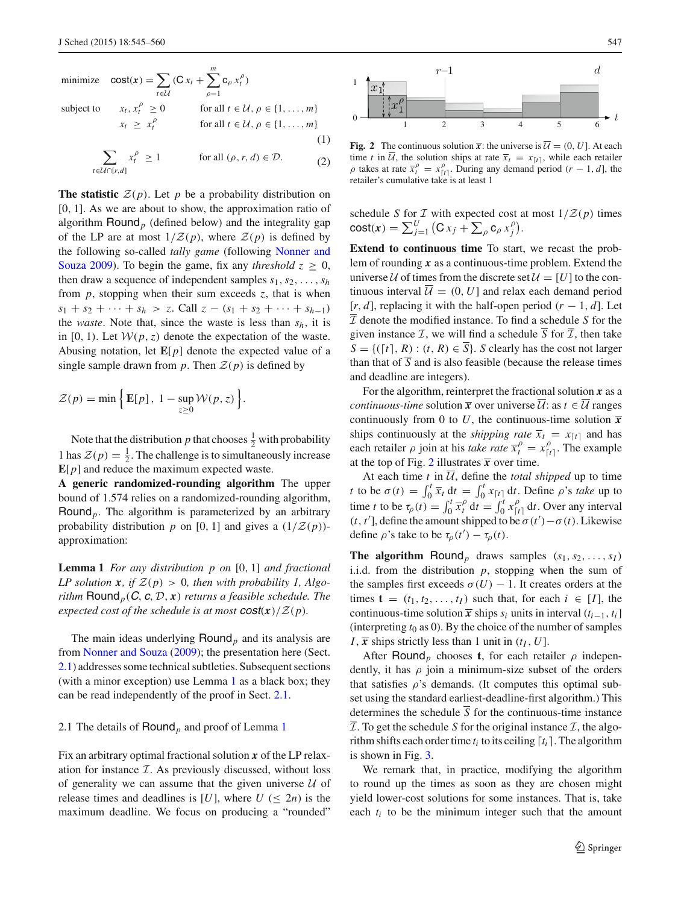<span id="page-2-3"></span>minimize 
$$
\text{cost}(x) = \sum_{t \in \mathcal{U}} (\text{C} x_t + \sum_{\rho=1}^m \text{C}_{\rho} x_t^{\rho})
$$
  
\nsubject to  $x_t, x_t^{\rho} \ge 0$  for all  $t \in \mathcal{U}, \rho \in \{1, ..., m\}$   
\n $x_t \ge x_t^{\rho}$  for all  $t \in \mathcal{U}, \rho \in \{1, ..., m\}$   
\n(1)

$$
\sum_{t \in \mathcal{U} \cap [r,d]} x_t^{\rho} \ge 1 \quad \text{for all } (\rho, r, d) \in \mathcal{D}.
$$
 (2)

**The statistic**  $\mathcal{Z}(p)$ . Let p be a probability distribution on [0, 1]. As we are about to show, the approximation ratio of algorithm Round*<sup>p</sup>* (defined below) and the integrality gap of the LP are at most  $1/Z(p)$ , where  $Z(p)$  is defined by the f[ollowing so-called](#page-15-1) *tally game* (following Nonner and Souza [2009\)](#page-15-1). To begin the game, fix any *threshold*  $z \geq 0$ , then draw a sequence of independent samples  $s_1, s_2, \ldots, s_h$ from  $p$ , stopping when their sum exceeds  $z$ , that is when  $s_1 + s_2 + \cdots + s_h > z$ . Call  $z - (s_1 + s_2 + \cdots + s_{h-1})$ the *waste*. Note that, since the waste is less than *sh*, it is in [0, 1). Let  $W(p, z)$  denote the expectation of the waste. Abusing notation, let  $\mathbf{E}[p]$  denote the expected value of a single sample drawn from  $p$ . Then  $\mathcal{Z}(p)$  is defined by

$$
\mathcal{Z}(p) = \min\left\{\mathbf{E}[p], 1 - \sup_{z \ge 0} \mathcal{W}(p, z)\right\}.
$$

Note that the distribution *p* that chooses  $\frac{1}{2}$  with probability 1 has  $\mathcal{Z}(p) = \frac{1}{2}$ . The challenge is to simultaneously increase **E**[*p*] and reduce the maximum expected waste.

**A generic randomized-rounding algorithm** The upper bound of 1.574 relies on a randomized-rounding algorithm, Round*p*. The algorithm is parameterized by an arbitrary probability distribution *p* on [0, 1] and gives a  $(1/\mathcal{Z}(p))$ approximation:

<span id="page-2-0"></span>**Lemma 1** *For any distribution p on* [0, 1] *and fractional LP solution*  $\mathbf{x}$ *, if*  $\mathcal{Z}(p) > 0$ *, then with probability 1, Algorithm*  $\text{Round}_p(C, c, D, x)$  *returns a feasible schedule. The expected cost of the schedule is at most*  $\cos(x)/\mathcal{Z}(p)$ *.* 

The main ideas underlying Round*<sup>p</sup>* and its analysis are from [Nonner and Souza](#page-15-1) [\(2009](#page-15-1)); the presentation here (Sect. [2.1\)](#page-2-1) addresses some technical subtleties. Subsequent sections (with a minor exception) use Lemma [1](#page-2-0) as a black box; they can be read independently of the proof in Sect. [2.1.](#page-2-1)

## <span id="page-2-1"></span>2.1 The details of Round*<sup>p</sup>* and proof of Lemma [1](#page-2-0)

Fix an arbitrary optimal fractional solution *x* of the LP relaxation for instance  $I$ . As previously discussed, without loss of generality we can assume that the given universe  $U$  of release times and deadlines is [*U*], where  $U \leq 2n$  is the maximum deadline. We focus on producing a "rounded"



<span id="page-2-2"></span>**Fig. 2** The continuous solution  $\overline{x}$ : the universe is  $\overline{U} = (0, U]$ . At each time *t* in  $\overline{U}$ , the solution ships at rate  $\overline{x}_t = x_{[t]}$ , while each retailer  $\rho$  takes at rate  $\overline{x}_t^{\rho} = x_{[t]}^{\rho}$ . During any demand period  $(r - 1, d]$ , the retailer's cumulative take is at least 1

schedule *S* for *I* with expected cost at most  $1/Z(p)$  times  $\text{cost}(x) = \sum_{j=1}^{U} (C x_j + \sum_{\rho} c_{\rho} x_j^{\rho}).$ 

**Extend to continuous time** To start, we recast the problem of rounding *x* as a continuous-time problem. Extend the universe U of times from the discrete set  $U = [U]$  to the continuous interval  $\overline{\mathcal{U}} = (0, U]$  and relax each demand period  $[r, d]$ , replacing it with the half-open period  $(r - 1, d]$ . Let  $\overline{\mathcal{I}}$  denote the modified instance. To find a schedule *S* for the given instance  $\mathcal{I}$ , we will find a schedule *S* for  $\mathcal{I}$ , then take  $S = \{([t], R) : (t, R) \in \overline{S}\}$ . *S* clearly has the cost not larger than that of  $\overline{S}$  and is also feasible (because the release times and deadline are integers).

For the algorithm, reinterpret the fractional solution *x* as a *continuous-time* solution  $\overline{x}$  over universe  $\overline{U}$ : as  $t \in \overline{U}$  ranges continuously from 0 to *U*, the continuous-time solution  $\bar{x}$ ships continuously at the *shipping rate*  $\overline{x}_t = x_{\lceil t \rceil}$  and has each retailer  $\rho$  join at his *take rate*  $\overline{x}_t^{\rho} = x_{[t]}^{\rho}$ . The example at the top of Fig. [2](#page-2-2) illustrates  $\bar{x}$  over time.

At each time  $t$  in  $\overline{U}$ , define the *total shipped* up to time *t* to be  $\sigma(t) = \int_0^t \overline{x}_t dt = \int_0^t x_{[t]} dt$ . Define  $\rho$ 's *take* up to time *t* to be  $\tau_p(t) = \int_0^t \overline{x}_t^{\rho} dt = \int_0^t x_{[t]}^{\rho} dt$ . Over any interval (*t*, *t*'], define the amount shipped to be  $\sigma(t') - \sigma(t)$ . Likewise define  $\rho$ 's take to be  $\tau_{\rho}(t') - \tau_{\rho}(t)$ .

**The algorithm** Round<sub>p</sub> draws samples  $(s_1, s_2, \ldots, s_I)$ i.i.d. from the distribution  $p$ , stopping when the sum of the samples first exceeds  $\sigma(U) - 1$ . It creates orders at the times  $\mathbf{t} = (t_1, t_2, \dots, t_I)$  such that, for each  $i \in [I]$ , the continuous-time solution  $\overline{x}$  ships  $s_i$  units in interval  $(t_{i-1}, t_i]$ (interpreting  $t_0$  as 0). By the choice of the number of samples *I*,  $\overline{x}$  ships strictly less than 1 unit in  $(t_I, U]$ .

After **Round**<sub>p</sub> chooses **t**, for each retailer  $\rho$  independently, it has  $\rho$  join a minimum-size subset of the orders that satisfies  $\rho$ 's demands. (It computes this optimal subset using the standard earliest-deadline-first algorithm.) This determines the schedule  $\overline{S}$  for the continuous-time instance  $I$ . To get the schedule *S* for the original instance  $I$ , the algorithm shifts each order time  $t_i$  to its ceiling  $[t_i]$ . The algorithm is shown in Fig. [3.](#page-3-0)

We remark that, in practice, modifying the algorithm to round up the times as soon as they are chosen might yield lower-cost solutions for some instances. That is, take each  $t_i$  to be the minimum integer such that the amount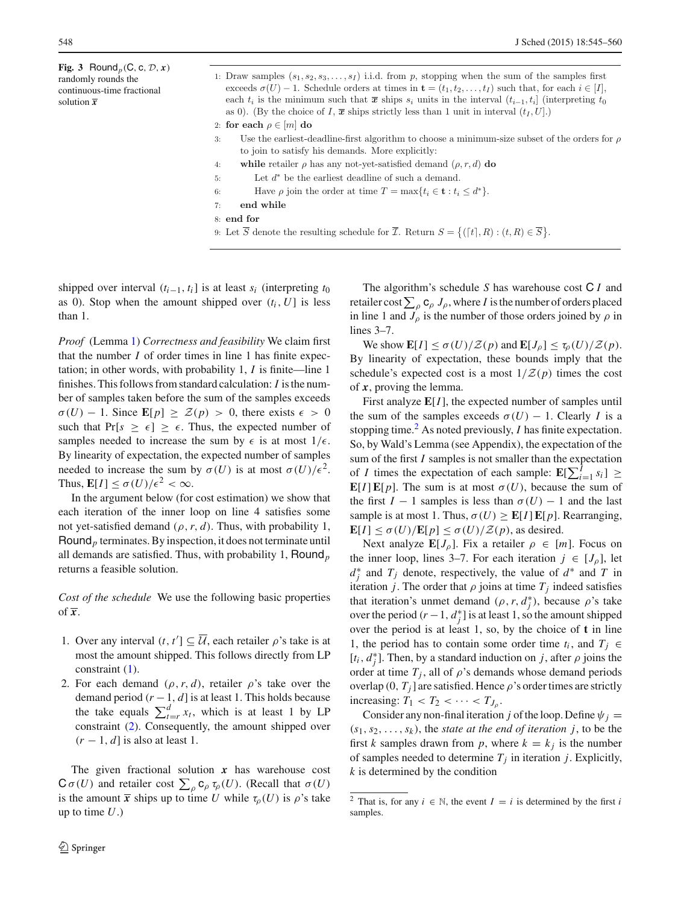<span id="page-3-0"></span>**Fig. 3** Round<sub>p</sub>(C, c,  $\mathcal{D}, x$ ) randomly rounds the continuous-time fractional solution *x*

|    | 1: Draw samples $(s_1, s_2, s_3, \ldots, s_l)$ i.i.d. from p, stopping when the sum of the samples first                                |
|----|-----------------------------------------------------------------------------------------------------------------------------------------|
|    | exceeds $\sigma(U) - 1$ . Schedule orders at times in $\mathbf{t} = (t_1, t_2, \dots, t_I)$ such that, for each $i \in [I],$            |
|    | each $t_i$ is the minimum such that $\bar{x}$ ships $s_i$ units in the interval $(t_{i-1}, t_i]$ (interpreting $t_0$                    |
|    | as 0). (By the choice of I, $\bar{x}$ ships strictly less than 1 unit in interval $(t_I, U)$ .)                                         |
|    | 2: for each $\rho \in [m]$ do                                                                                                           |
| 3: | Use the earliest-deadline-first algorithm to choose a minimum-size subset of the orders for $\rho$                                      |
|    | to join to satisfy his demands. More explicitly:                                                                                        |
| 4: | while retailer $\rho$ has any not-yet-satisfied demand $(\rho, r, d)$ do                                                                |
| 5: | Let $d^*$ be the earliest deadline of such a demand.                                                                                    |
| 6: | Have $\rho$ join the order at time $T = \max\{t_i \in \mathbf{t} : t_i \leq d^*\}.$                                                     |
| 7: | end while                                                                                                                               |
|    | 8: end for                                                                                                                              |
|    | 9: Let $\overline{S}$ denote the resulting schedule for $\overline{\mathcal{I}}$ . Return $S = \{([t], R) : (t, R) \in \overline{S}\}.$ |
|    |                                                                                                                                         |

shipped over interval  $(t_{i-1}, t_i)$  is at least  $s_i$  (interpreting  $t_0$ ) as 0). Stop when the amount shipped over  $(t_i, U]$  is less than 1.

*Proof* (Lemma [1\)](#page-2-0) *Correctness and feasibility* We claim first that the number *I* of order times in line 1 has finite expectation; in other words, with probability 1, *I* is finite—line 1 finishes. This follows from standard calculation: *I* is the number of samples taken before the sum of the samples exceeds  $\sigma(U) - 1$ . Since  $\mathbf{E}[p] \geq \mathcal{Z}(p) > 0$ , there exists  $\epsilon > 0$ such that  $Pr[s \geq \epsilon] \geq \epsilon$ . Thus, the expected number of samples needed to increase the sum by  $\epsilon$  is at most  $1/\epsilon$ . By linearity of expectation, the expected number of samples needed to increase the sum by  $\sigma(U)$  is at most  $\sigma(U)/\epsilon^2$ . Thus,  $\mathbb{E}[I] \leq \sigma(U)/\epsilon^2 < \infty$ .

In the argument below (for cost estimation) we show that each iteration of the inner loop on line 4 satisfies some not yet-satisfied demand  $(\rho, r, d)$ . Thus, with probability 1, Round*<sup>p</sup>* terminates. By inspection, it does not terminate until all demands are satisfied. Thus, with probability 1, Round*<sup>p</sup>* returns a feasible solution.

*Cost of the schedule* We use the following basic properties of  $\overline{x}$ .

- 1. Over any interval  $(t, t') \subseteq U$ , each retailer  $\rho$ 's take is at most the amount shipped. This follows directly from LP constraint [\(1\)](#page-2-3).
- 2. For each demand  $(\rho, r, d)$ , retailer  $\rho$ 's take over the demand period  $(r-1, d]$  is at least 1. This holds because the take equals  $\sum_{t=r}^{d} x_t$ , which is at least 1 by LP constraint [\(2\)](#page-2-3). Consequently, the amount shipped over (*r* − 1, *d*] is also at least 1.

The given fractional solution  $x$  has warehouse cost  $C \sigma(U)$  and retailer cost  $\sum_{\rho} c_{\rho} \tau_{\rho}(U)$ . (Recall that  $\sigma(U)$ is the amount  $\bar{x}$  ships up to time *U* while  $\tau_{\rho}(U)$  is  $\rho$ 's take up to time *U*.)

The algorithm's schedule *S* has warehouse cost C *I* and retailer cost  $\sum_{\rho} \mathsf{c}_{\rho} J_{\rho}$ , where *I* is the number of orders placed in line 1 and  $J_\rho$  is the number of those orders joined by  $\rho$  in lines 3–7.

We show  $\mathbf{E}[I] \le \sigma(U)/\mathcal{Z}(p)$  and  $\mathbf{E}[J_{\rho}] \le \tau_{\rho}(U)/\mathcal{Z}(p)$ . By linearity of expectation, these bounds imply that the schedule's expected cost is a most  $1/\mathcal{Z}(p)$  times the cost of *x*, proving the lemma.

First analyze **E**[*I*], the expected number of samples until the sum of the samples exceeds  $\sigma(U) - 1$ . Clearly *I* is a stopping time.<sup>[2](#page-3-1)</sup> As noted previously, *I* has finite expectation. So, by Wald's Lemma (see Appendix), the expectation of the sum of the first *I* samples is not smaller than the expectation of *I* times the expectation of each sample:  $\mathbf{E}[\sum_{i=1}^{I} s_i] \geq$ **E**[*I*]**E**[*p*]. The sum is at most  $\sigma(U)$ , because the sum of the first  $I - 1$  samples is less than  $\sigma(U) - 1$  and the last sample is at most 1. Thus,  $\sigma(U) \geq \mathbb{E}[I] \mathbb{E}[p]$ . Rearranging,  $\mathbf{E}[I] \leq \sigma(U)/\mathbf{E}[p] \leq \sigma(U)/\mathcal{Z}(p)$ , as desired.

Next analyze  $\mathbf{E}[J_{\rho}]$ . Fix a retailer  $\rho \in [m]$ . Focus on the inner loop, lines 3–7. For each iteration  $j \in [J_\rho]$ , let  $d_j^*$  and  $T_j$  denote, respectively, the value of  $d^*$  and  $T$  in iteration *j*. The order that  $\rho$  joins at time  $T_i$  indeed satisfies that iteration's unmet demand  $(\rho, r, d_j^*)$ , because  $\rho$ 's take over the period  $(r-1, d_j^*]$  is at least 1, so the amount shipped over the period is at least 1, so, by the choice of **t** in line 1, the period has to contain some order time  $t_i$ , and  $T_j \in$  $[t_i, d_j^*]$ . Then, by a standard induction on *j*, after  $\rho$  joins the order at time  $T_j$ , all of  $\rho$ 's demands whose demand periods overlap  $(0, T<sub>j</sub>]$  are satisfied. Hence  $\rho$ 's order times are strictly increasing:  $T_1 < T_2 < \cdots < T_{J_0}$ .

Consider any non-final iteration *j* of the loop. Define  $\psi_j =$  $(s_1, s_2, \ldots, s_k)$ , the *state at the end of iteration j*, to be the first *k* samples drawn from *p*, where  $k = k_i$  is the number of samples needed to determine  $T_j$  in iteration *j*. Explicitly, *k* is determined by the condition

<span id="page-3-1"></span><sup>&</sup>lt;sup>2</sup> That is, for any  $i \in \mathbb{N}$ , the event  $I = i$  is determined by the first *i* samples.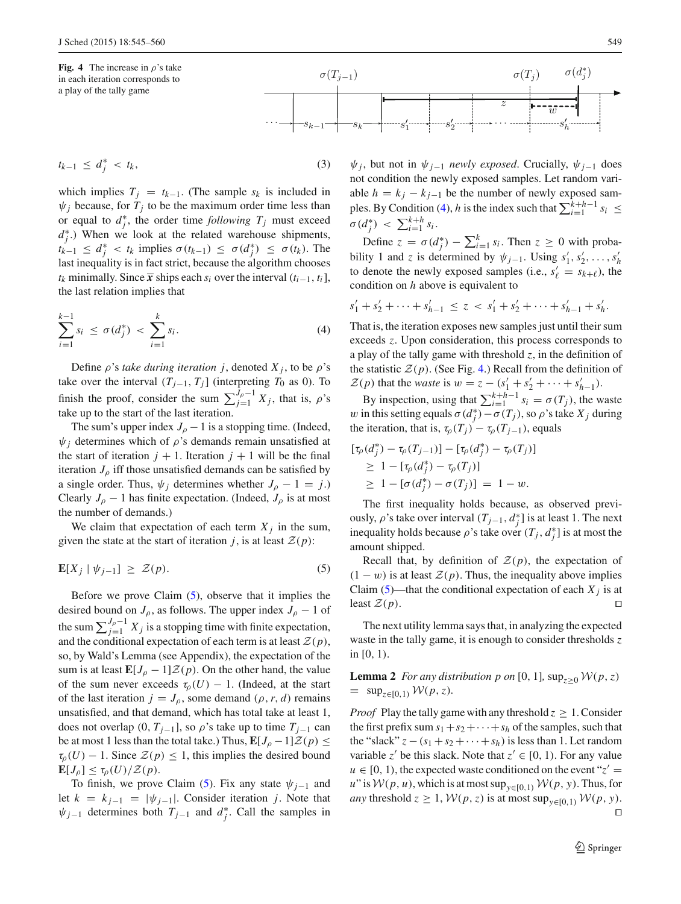<span id="page-4-2"></span>**Fig. 4** The increase in  $\rho$ 's take in each iteration corresponds to a play of the tally game



which implies  $T_j = t_{k-1}$ . (The sample  $s_k$  is included in  $\psi_i$  because, for  $T_i$  to be the maximum order time less than or equal to  $d_j^*$ , the order time *following*  $T_j$  must exceed  $d_j^*$ .) When we look at the related warehouse shipments, *tk*−1 ≤  $d_j^*$  < *tk* implies  $\sigma(t_{k-1})$  ≤  $\sigma(d_j^*)$  ≤  $\sigma(t_k)$ . The last inequality is in fact strict, because the algorithm chooses  $t_k$  minimally. Since  $\bar{x}$  ships each  $s_i$  over the interval  $(t_{i-1}, t_i]$ , the last relation implies that

<span id="page-4-1"></span>
$$
\sum_{i=1}^{k-1} s_i \le \sigma(d_j^*) < \sum_{i=1}^k s_i. \tag{4}
$$

Define  $\rho$ 's *take during iteration j*, denoted  $X_j$ , to be  $\rho$ 's take over the interval  $(T_{j-1}, T_j]$  (interpreting  $T_0$  as 0). To finish the proof, consider the sum  $\sum_{j=1}^{J_{\rho}-1} X_j$ , that is,  $\rho$ 's take up to the start of the last iteration.

The sum's upper index  $J_\rho - 1$  is a stopping time. (Indeed,  $\psi_i$  determines which of  $\rho$ 's demands remain unsatisfied at the start of iteration  $j + 1$ . Iteration  $j + 1$  will be the final iteration  $J_{\rho}$  iff those unsatisfied demands can be satisfied by a single order. Thus,  $\psi_j$  determines whether  $J_\rho - 1 = j$ .) Clearly  $J_\rho$  − 1 has finite expectation. (Indeed,  $J_\rho$  is at most the number of demands.)

We claim that expectation of each term  $X_i$  in the sum, given the state at the start of iteration *j*, is at least  $\mathcal{Z}(p)$ :

$$
\mathbf{E}[X_j \mid \psi_{j-1}] \geq \mathcal{Z}(p). \tag{5}
$$

Before we prove Claim  $(5)$ , observe that it implies the desired bound on  $J_\rho$ , as follows. The upper index  $J_\rho - 1$  of the sum  $\sum_{j=1}^{J_p-1} X_j$  is a stopping time with finite expectation, and the conditional expectation of each term is at least  $\mathcal{Z}(p)$ , so, by Wald's Lemma (see Appendix), the expectation of the sum is at least  $\mathbf{E}[J_\rho-1]\mathcal{Z}(p)$ . On the other hand, the value of the sum never exceeds  $\tau_p(U) - 1$ . (Indeed, at the start of the last iteration  $j = J_\rho$ , some demand  $(\rho, r, d)$  remains unsatisfied, and that demand, which has total take at least 1, does not overlap  $(0, T_{j-1}]$ , so  $\rho$ 's take up to time  $T_{j-1}$  can be at most 1 less than the total take.) Thus,  $\mathbf{E}[J_\rho-1]\mathcal{Z}(p) \leq$  $\tau_{\rho}(U) - 1$ . Since  $\mathcal{Z}(p) \leq 1$ , this implies the desired bound  $\mathbf{E}[J_{\rho}] \leq \tau_{\rho}(U)/\mathcal{Z}(p).$ 

To finish, we prove Claim [\(5\)](#page-4-0). Fix any state  $\psi_{i-1}$  and let  $k = k_{j-1} = |\psi_{j-1}|$ . Consider iteration *j*. Note that  $\psi_{j-1}$  determines both  $T_{j-1}$  and  $d_j^*$ . Call the samples in

 $\psi$ *j*, but not in  $\psi$ <sub>*j*−1</sub> *newly exposed*. Crucially,  $\psi$ <sub>*j*−1</sub> does not condition the newly exposed samples. Let random variable  $h = k_j - k_{j-1}$  be the number of newly exposed sam-ples. By Condition [\(4\)](#page-4-1), *h* is the index such that  $\sum_{i=1}^{k+h-1} s_i \le$  $\sigma(d_j^*) < \sum_{i=1}^{k+h} s_i$ .

Define  $z = \sigma(d_j^*) - \sum_{i=1}^k s_i$ . Then  $z \ge 0$  with probability 1 and *z* is determined by  $\psi_{j-1}$ . Using  $s'_1, s'_2, \ldots, s'_h$ to denote the newly exposed samples (i.e.,  $s'_\ell = s_{k+\ell}$ ), the condition on *h* above is equivalent to

$$
s'_1 + s'_2 + \dots + s'_{h-1} \le z < s'_1 + s'_2 + \dots + s'_{h-1} + s'_h.
$$

That is, the iteration exposes new samples just until their sum exceeds *z*. Upon consideration, this process corresponds to a play of the tally game with threshold  $z$ , in the definition of the statistic  $\mathcal{Z}(p)$ . (See Fig. [4.](#page-4-2)) Recall from the definition of  $\mathcal{Z}(p)$  that the *waste* is  $w = z - (s'_1 + s'_2 + \cdots + s'_{h-1}).$ 

By inspection, using that  $\sum_{i=1}^{k+h-1} s_i = \sigma(T_j)$ , the waste w in this setting equals  $\sigma(d_j^*) - \sigma(T_j)$ , so  $\rho$ 's take  $X_j$  during the iteration, that is,  $\tau_{\rho}(T_j) - \tau_{\rho}(T_{j-1})$ , equals

$$
\begin{aligned} [\tau_{\rho}(d_j^*) - \tau_{\rho}(T_{j-1})] - [\tau_{\rho}(d_j^*) - \tau_{\rho}(T_j)] \\ \geq 1 - [\tau_{\rho}(d_j^*) - \tau_{\rho}(T_j)] \\ \geq 1 - [\sigma(d_j^*) - \sigma(T_j)] = 1 - w. \end{aligned}
$$

The first inequality holds because, as observed previously,  $\rho$ 's take over interval  $(T_{j-1}, d_j^*)$  is at least 1. The next inequality holds because  $\rho$ 's take over  $(T_j, d_j^*)$  is at most the amount shipped.

<span id="page-4-0"></span>Recall that, by definition of  $\mathcal{Z}(p)$ , the expectation of  $(1 - w)$  is at least  $\mathcal{Z}(p)$ . Thus, the inequality above implies Claim [\(5\)](#page-4-0)—that the conditional expectation of each  $X_j$  is at least  $\mathcal{Z}(p)$ .

The next utility lemma says that, in analyzing the expected waste in the tally game, it is enough to consider thresholds *z* in [0, 1).

<span id="page-4-3"></span>**Lemma 2** *For any distribution p on* [0, 1],  $\sup_{z>0} \mathcal{W}(p, z)$  $=$  sup<sub>*z*∈[0,1)</sub>  $W(p, z)$ .

*Proof* Play the tally game with any threshold  $z \geq 1$ . Consider the first prefix sum  $s_1 + s_2 + \cdots + s_h$  of the samples, such that the "slack"  $z - (s_1 + s_2 + \cdots + s_h)$  is less than 1. Let random variable *z*<sup>'</sup> be this slack. Note that  $z' \in [0, 1)$ . For any value  $u \in [0, 1)$ , the expected waste conditioned on the event " $z' =$ *u*" is  $W(p, u)$ , which is at most sup<sub>*y*∈[0,1)</sub>  $W(p, y)$ . Thus, for *any* threshold  $z \geq 1$ ,  $W(p, z)$  is at most sup<sub> $y \in [0,1]$ </sub>  $W(p, y)$ .  $\Box$ 

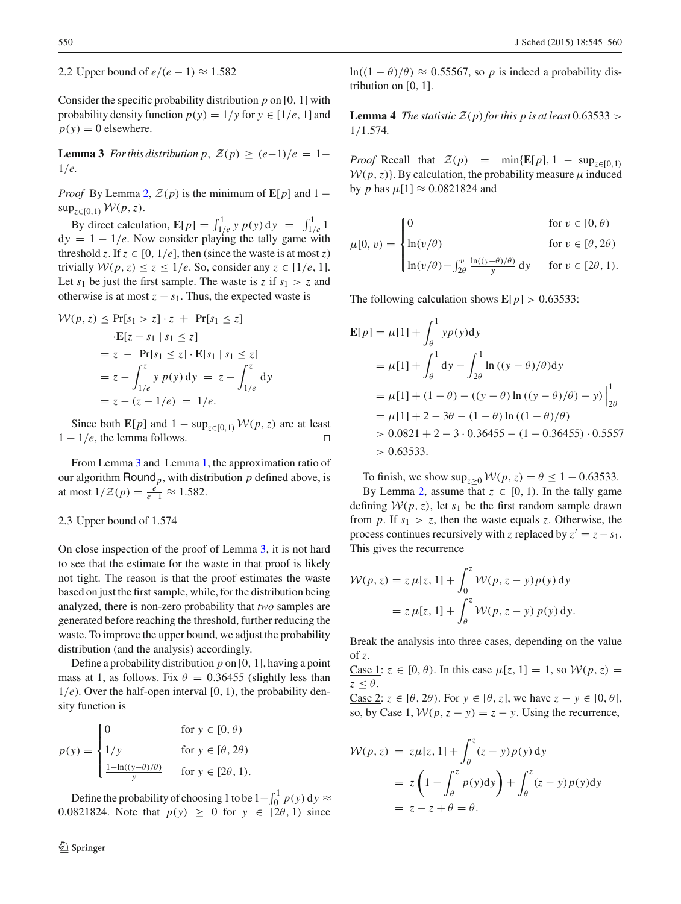2.2 Upper bound of  $e/(e-1) \approx 1.582$ 

Consider the specific probability distribution *p* on [0, 1] with probability density function  $p(y) = 1/y$  for  $y \in [1/e, 1]$  and  $p(y) = 0$  elsewhere.

<span id="page-5-0"></span>**Lemma 3** *For this distribution p*,  $\mathcal{Z}(p) \geq (e-1)/e = 1-$ 1/*e.*

*Proof* By Lemma [2,](#page-4-3)  $\mathcal{Z}(p)$  is the minimum of  $\mathbf{E}[p]$  and 1 −  $\sup_{z \in [0,1)} W(p, z)$ .

By direct calculation,  $\mathbf{E}[p] = \int_{1/e}^{1} y \, p(y) \, dy = \int_{1/e}^{1} 1$  $dy = 1 - 1/e$ . Now consider playing the tally game with threshold *z*. If  $z \in [0, 1/e]$ , then (since the waste is at most *z*) trivially  $W(p, z) \leq z \leq 1/e$ . So, consider any  $z \in [1/e, 1]$ . Let  $s_1$  be just the first sample. The waste is *z* if  $s_1 > z$  and otherwise is at most  $z - s_1$ . Thus, the expected waste is

$$
\mathcal{W}(p, z) \le \Pr[s_1 > z] \cdot z + \Pr[s_1 \le z]
$$

$$
\cdot \mathbf{E}[z - s_1 | s_1 \le z]
$$

$$
= z - \Pr[s_1 \le z] \cdot \mathbf{E}[s_1 | s_1 \le z]
$$

$$
= z - \int_{1/e}^{z} y p(y) dy = z - \int_{1/e}^{z} dy
$$

$$
= z - (z - 1/e) = 1/e.
$$

Since both **E**[*p*] and 1 − sup<sub>*z*∈[0,1)</sub>  $W(p, z)$  are at least – 1/*e*, the lemma follows. □  $1 - 1/e$ , the lemma follows.

From Lemma [3](#page-5-0) and Lemma [1,](#page-2-0) the approximation ratio of our algorithm  $\text{Round}_p$ , with distribution  $p$  defined above, is at most  $1/Z(p) = \frac{e}{e-1} \approx 1.582$ .

#### 2.3 Upper bound of 1.574

On close inspection of the proof of Lemma [3,](#page-5-0) it is not hard to see that the estimate for the waste in that proof is likely not tight. The reason is that the proof estimates the waste based on just the first sample, while, for the distribution being analyzed, there is non-zero probability that *two* samples are generated before reaching the threshold, further reducing the waste. To improve the upper bound, we adjust the probability distribution (and the analysis) accordingly.

Define a probability distribution *p* on [0, 1], having a point mass at 1, as follows. Fix  $\theta = 0.36455$  (slightly less than 1/*e*). Over the half-open interval [0, 1), the probability density function is

$$
p(y) = \begin{cases} 0 & \text{for } y \in [0, \theta) \\ 1/y & \text{for } y \in [\theta, 2\theta) \\ \frac{1 - \ln((y - \theta)/\theta)}{y} & \text{for } y \in [2\theta, 1). \end{cases}
$$

Define the probability of choosing 1 to be  $1 - \int_0^1 p(y) dy \approx$ 0.0821824. Note that  $p(y) \ge 0$  for  $y \in [2\theta, 1)$  since

<span id="page-5-1"></span>ln( $(1 - \theta)/\theta$ )  $\approx 0.55567$ , so *p* is indeed a probability distribution on [0, 1].

**Lemma 4** *The statistic*  $\mathcal{Z}(p)$  *for this p is at least* 0.63533 > 1/1.574*.*

*Proof* Recall that  $\mathcal{Z}(p) = \min\{E[p], 1 - \sup_{z \in [0,1]}$  $W(p, z)$ . By calculation, the probability measure  $\mu$  induced by *p* has  $\mu$ [1]  $\approx 0.0821824$  and

$$
\mu[0, v) = \begin{cases}\n0 & \text{for } v \in [0, \theta) \\
\ln(v/\theta) & \text{for } v \in [\theta, 2\theta) \\
\ln(v/\theta) - \int_{2\theta}^{v} \frac{\ln((y-\theta)/\theta)}{y} dy & \text{for } v \in [2\theta, 1).\n\end{cases}
$$

The following calculation shows  $\mathbf{E}[p] > 0.63533$ :

$$
\mathbf{E}[p] = \mu[1] + \int_{\theta}^{1} yp(y)dy
$$
  
=  $\mu[1] + \int_{\theta}^{1} dy - \int_{2\theta}^{1} \ln ((y - \theta)/\theta)dy$   
=  $\mu[1] + (1 - \theta) - ((y - \theta) \ln ((y - \theta)/\theta) - y)\Big|_{2\theta}^{1}$   
=  $\mu[1] + 2 - 3\theta - (1 - \theta) \ln ((1 - \theta)/\theta)$   
> 0.0821 + 2 - 3 \cdot 0.36455 - (1 - 0.36455) \cdot 0.5557  
> 0.63533.

To finish, we show  $\sup_{z>0} W(p, z) = \theta \le 1 - 0.63533$ .

By Lemma [2,](#page-4-3) assume that  $z \in [0, 1)$ . In the tally game defining  $W(p, z)$ , let  $s_1$  be the first random sample drawn from *p*. If  $s_1 > z$ , then the waste equals *z*. Otherwise, the process continues recursively with *z* replaced by  $z' = z - s_1$ . This gives the recurrence

$$
\mathcal{W}(p, z) = z \mu[z, 1] + \int_0^z \mathcal{W}(p, z - y) p(y) dy
$$
  
=  $z \mu[z, 1] + \int_\theta^z \mathcal{W}(p, z - y) p(y) dy.$ 

Break the analysis into three cases, depending on the value of *z*.

Case 1:  $z \in [0, \theta)$ . In this case  $\mu[z, 1] = 1$ , so  $\mathcal{W}(p, z) =$  $z < \theta$ .

Case 2:  $z \in [\theta, 2\theta)$ . For  $y \in [\theta, z]$ , we have  $z - y \in [0, \theta]$ , so, by Case 1,  $W(p, z - y) = z - y$ . Using the recurrence,

$$
\mathcal{W}(p, z) = z\mu[z, 1] + \int_{\theta}^{z} (z - y) p(y) dy
$$
  
=  $z \left(1 - \int_{\theta}^{z} p(y) dy\right) + \int_{\theta}^{z} (z - y) p(y) dy$   
=  $z - z + \theta = \theta$ .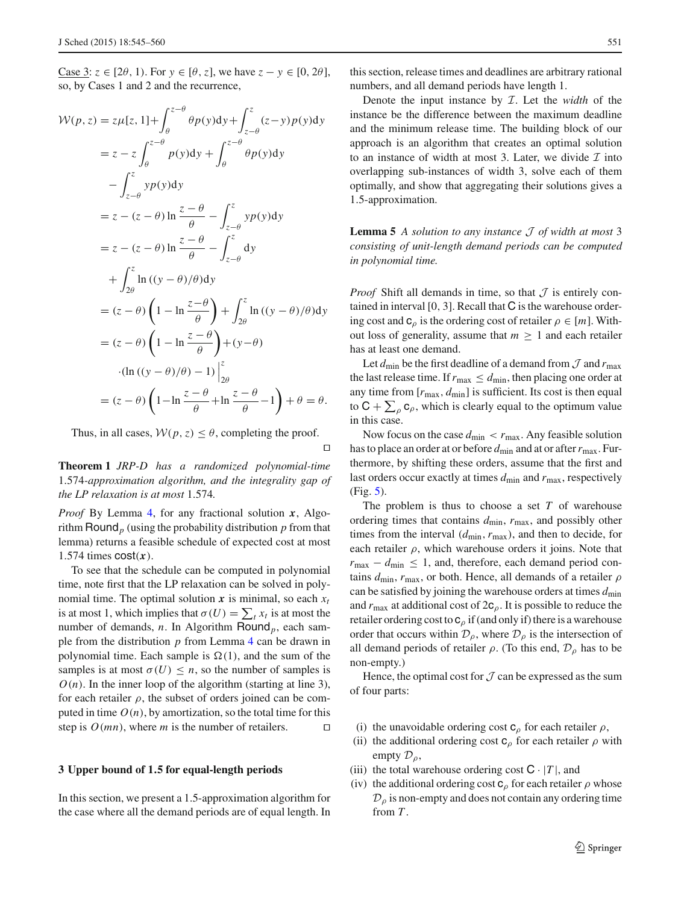Case 3:  $z \in [2\theta, 1)$ . For  $y \in [\theta, z]$ , we have  $z - y \in [0, 2\theta]$ , so, by Cases 1 and 2 and the recurrence,

$$
\mathcal{W}(p, z) = z\mu[z, 1] + \int_{\theta}^{z-\theta} \theta p(y) dy + \int_{z-\theta}^{z} (z-y)p(y) dy
$$
  
\n
$$
= z - z \int_{\theta}^{z-\theta} p(y) dy + \int_{\theta}^{z-\theta} \theta p(y) dy
$$
  
\n
$$
- \int_{z-\theta}^{z} yp(y) dy
$$
  
\n
$$
= z - (z - \theta) \ln \frac{z-\theta}{\theta} - \int_{z-\theta}^{z} yp(y) dy
$$
  
\n
$$
= z - (z - \theta) \ln \frac{z-\theta}{\theta} - \int_{z-\theta}^{z} dy
$$
  
\n
$$
+ \int_{2\theta}^{z} \ln ((y - \theta)/\theta) dy
$$
  
\n
$$
= (z - \theta) \left(1 - \ln \frac{z-\theta}{\theta}\right) + \int_{2\theta}^{z} \ln ((y - \theta)/\theta) dy
$$
  
\n
$$
= (z - \theta) \left(1 - \ln \frac{z-\theta}{\theta}\right) + (y - \theta)
$$
  
\n
$$
\cdot (\ln ((y - \theta)/\theta) - 1) \Big|_{2\theta}^{z}
$$
  
\n
$$
= (z - \theta) \left(1 - \ln \frac{z-\theta}{\theta} + \ln \frac{z-\theta}{\theta} - 1\right) + \theta = \theta.
$$

Thus, in all cases,  $W(p, z) \leq \theta$ , completing the proof.

 $\Box$ 

**Theorem 1** *JRP-D has a randomized polynomial-time* 1.574*-approximation algorithm, and the integrality gap of the LP relaxation is at most* 1.574*.*

*Proof* By Lemma [4,](#page-5-1) for any fractional solution *x*, Algorithm Round*<sup>p</sup>* (using the probability distribution *p* from that lemma) returns a feasible schedule of expected cost at most 1.574 times  $cost(x)$ .

To see that the schedule can be computed in polynomial time, note first that the LP relaxation can be solved in polynomial time. The optimal solution  $x$  is minimal, so each  $x_t$ is at most 1, which implies that  $\sigma(U) = \sum_t x_t$  is at most the number of demands, *n*. In Algorithm Round*p*, each sample from the distribution *p* from Lemma [4](#page-5-1) can be drawn in polynomial time. Each sample is  $\Omega(1)$ , and the sum of the samples is at most  $\sigma(U) \leq n$ , so the number of samples is  $O(n)$ . In the inner loop of the algorithm (starting at line 3), for each retailer  $\rho$ , the subset of orders joined can be computed in time  $O(n)$ , by amortization, so the total time for this step is  $O(mn)$ , where *m* is the number of retailers.  $\square$ 

# **3 Upper bound of 1***.***5 for equal-length periods**

In this section, we present a 1.5-approximation algorithm for the case where all the demand periods are of equal length. In

this section, release times and deadlines are arbitrary rational numbers, and all demand periods have length 1.

Denote the input instance by I. Let the *width* of the instance be the difference between the maximum deadline and the minimum release time. The building block of our approach is an algorithm that creates an optimal solution to an instance of width at most 3. Later, we divide  $\mathcal I$  into overlapping sub-instances of width 3, solve each of them optimally, and show that aggregating their solutions gives a 1.5-approximation.

<span id="page-6-0"></span>**Lemma 5** *A solution to any instance* J *of width at most* 3 *consisting of unit-length demand periods can be computed in polynomial time.*

*Proof* Shift all demands in time, so that  $J$  is entirely contained in interval [0, 3]. Recall that C is the warehouse ordering cost and  $c_\rho$  is the ordering cost of retailer  $\rho \in [m]$ . Without loss of generality, assume that  $m \geq 1$  and each retailer has at least one demand.

Let  $d_{\text{min}}$  be the first deadline of a demand from  $\mathcal J$  and  $r_{\text{max}}$ the last release time. If  $r_{\text{max}} \le d_{\text{min}}$ , then placing one order at any time from [*r*max, *d*min] is sufficient. Its cost is then equal to  $C + \sum_{\rho} c_{\rho}$ , which is clearly equal to the optimum value in this case.

Now focus on the case  $d_{\text{min}} < r_{\text{max}}$ . Any feasible solution has to place an order at or before  $d_{\text{min}}$  and at or after  $r_{\text{max}}$ . Furthermore, by shifting these orders, assume that the first and last orders occur exactly at times  $d_{\min}$  and  $r_{\max}$ , respectively (Fig. [5\)](#page-7-0).

The problem is thus to choose a set *T* of warehouse ordering times that contains *d*min, *r*max, and possibly other times from the interval (*d*min,*r*max), and then to decide, for each retailer  $\rho$ , which warehouse orders it joins. Note that  $r_{\text{max}} - d_{\text{min}} \leq 1$ , and, therefore, each demand period contains *d*min, *r*max, or both. Hence, all demands of a retailer ρ can be satisfied by joining the warehouse orders at times *d*min and  $r_{\text{max}}$  at additional cost of  $2c<sub>o</sub>$ . It is possible to reduce the retailer ordering cost to  $c_\rho$  if (and only if) there is a warehouse order that occurs within  $\mathcal{D}_{\rho}$ , where  $\mathcal{D}_{\rho}$  is the intersection of all demand periods of retailer  $\rho$ . (To this end,  $\mathcal{D}_{\rho}$  has to be non-empty.)

Hence, the optimal cost for  $\mathcal J$  can be expressed as the sum of four parts:

- (i) the unavoidable ordering cost  $c_\rho$  for each retailer  $\rho$ ,
- (ii) the additional ordering cost  $c_{\rho}$  for each retailer  $\rho$  with empty  $\mathcal{D}_{\rho}$ ,
- (iii) the total warehouse ordering cost  $C \cdot |T|$ , and
- (iv) the additional ordering cost  $c_\rho$  for each retailer  $\rho$  whose  $\mathcal{D}_{\rho}$  is non-empty and does not contain any ordering time from *T* .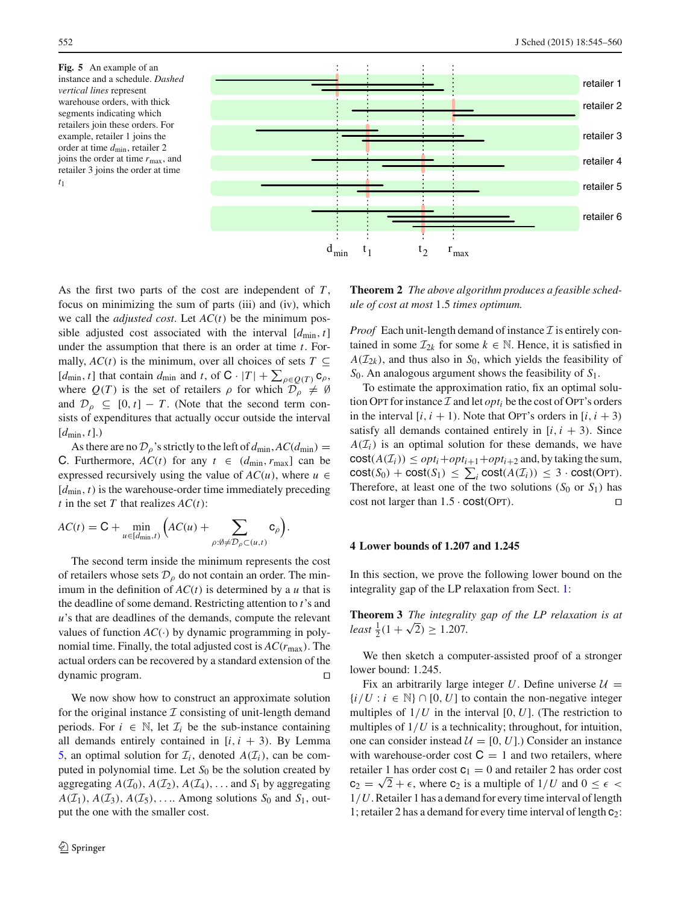<span id="page-7-0"></span>**Fig. 5** An example of an instance and a schedule. *Dashed vertical lines* represent warehouse orders, with thick segments indicating which retailers join these orders. For example, retailer 1 joins the order at time *d*min, retailer 2 joins the order at time *r*max, and retailer 3 joins the order at time *t*1



As the first two parts of the cost are independent of *T* , focus on minimizing the sum of parts (iii) and (iv), which we call the *adjusted cost*. Let *AC*(*t*) be the minimum possible adjusted cost associated with the interval  $[d_{\min}, t]$ under the assumption that there is an order at time *t*. Formally,  $AC(t)$  is the minimum, over all choices of sets  $T \subseteq$  $[d_{\min}, t]$  that contain  $d_{\min}$  and  $t$ , of  $C \cdot |T| + \sum_{\rho \in Q(T)} C_{\rho}$ where  $Q(T)$  is the set of retailers  $\rho$  for which  $\mathcal{D}_{\rho} \neq \emptyset$ and  $\mathcal{D}_{\rho} \subseteq [0, t] - T$ . (Note that the second term consists of expenditures that actually occur outside the interval  $[d_{\min}, t]$ .)

As there are no  $\mathcal{D}_{\rho}$ 's strictly to the left of  $d_{\text{min}}$ ,  $AC(d_{\text{min}})$  = C. Furthermore,  $AC(t)$  for any  $t \in (d_{\min}, r_{\max}]$  can be expressed recursively using the value of  $AC(u)$ , where  $u \in$ [*d*min, *t*) is the warehouse-order time immediately preceding *t* in the set *T* that realizes  $AC(t)$ :

$$
AC(t) = \mathsf{C} + \min_{u \in [d_{\min}, t)} \Big( AC(u) + \sum_{\rho: \emptyset \neq \mathcal{D}_{\rho} \subset (u, t)} \mathsf{c}_{\rho} \Big).
$$

The second term inside the minimum represents the cost of retailers whose sets  $\mathcal{D}_{\rho}$  do not contain an order. The minimum in the definition of  $AC(t)$  is determined by a *u* that is the deadline of some demand. Restricting attention to *t*'s and *u*'s that are deadlines of the demands, compute the relevant values of function  $AC(·)$  by dynamic programming in polynomial time. Finally, the total adjusted cost is  $AC(r_{\text{max}})$ . The actual orders can be recovered by a standard extension of the dynamic program.

We now show how to construct an approximate solution for the original instance  $\mathcal I$  consisting of unit-length demand periods. For  $i \in \mathbb{N}$ , let  $\mathcal{I}_i$  be the sub-instance containing all demands entirely contained in  $[i, i + 3)$ . By Lemma [5,](#page-6-0) an optimal solution for  $\mathcal{I}_i$ , denoted  $A(\mathcal{I}_i)$ , can be computed in polynomial time. Let S<sub>0</sub> be the solution created by aggregating  $A(\mathcal{I}_0)$ ,  $A(\mathcal{I}_2)$ ,  $A(\mathcal{I}_4)$ , ... and  $S_1$  by aggregating  $A(\mathcal{I}_1)$ ,  $A(\mathcal{I}_3)$ ,  $A(\mathcal{I}_5)$ , ... Among solutions  $S_0$  and  $S_1$ , output the one with the smaller cost.

**Theorem 2** *The above algorithm produces a feasible schedule of cost at most* 1.5 *times optimum.*

*Proof* Each unit-length demand of instance  $\mathcal I$  is entirely contained in some  $\mathcal{I}_{2k}$  for some  $k \in \mathbb{N}$ . Hence, it is satisfied in  $A(\mathcal{I}_{2k})$ , and thus also in *S*<sub>0</sub>, which yields the feasibility of *S*0. An analogous argument shows the feasibility of *S*1.

To estimate the approximation ratio, fix an optimal solution OPT for instance  $\mathcal I$  and let  $opt_i$  be the cost of OPT's orders in the interval  $[i, i + 1)$ . Note that OPT's orders in  $[i, i + 3)$ satisfy all demands contained entirely in  $[i, i + 3)$ . Since  $A(\mathcal{I}_i)$  is an optimal solution for these demands, we have  $cost(A(\mathcal{I}_i)) \leq opt_i + opt_{i+1} + opt_{i+2}$  and, by taking the sum,  $cost(S_0) + cost(S_1) \leq \sum_i cost(A(\mathcal{I}_i)) \leq 3 \cdot cost(OPT).$ Therefore, at least one of the two solutions  $(S_0 \text{ or } S_1)$  has  $\Box$ cost not larger than  $1.5 \cdot \text{cost}(\text{OPT})$ .

# <span id="page-7-2"></span>**4 Lower bounds of 1.207 and 1.245**

<span id="page-7-1"></span>In this section, we prove the following lower bound on the integrality gap of the LP relaxation from Sect. [1:](#page-0-1)

**Theorem 3** *The integrality gap of the LP relaxation is at least*  $\frac{1}{2}(1 + \sqrt{2}) \ge 1.207$ .

We then sketch a computer-assisted proof of a stronger lower bound: 1.245.

Fix an arbitrarily large integer *U*. Define universe  $U =$  ${i/U : i \in \mathbb{N} \cap [0, U]$  to contain the non-negative integer multiples of  $1/U$  in the interval  $[0, U]$ . (The restriction to multiples of  $1/U$  is a technicality; throughout, for intuition, one can consider instead  $\mathcal{U} = [0, U]$ .) Consider an instance with warehouse-order cost  $C = 1$  and two retailers, where retailer 1 has order cost  $c_1 = 0$  and retailer 2 has order cost  $c_2 = \sqrt{2} + \epsilon$ , where  $c_2$  is a multiple of  $1/U$  and  $0 \le \epsilon$ 1/*U*. Retailer 1 has a demand for every time interval of length 1; retailer 2 has a demand for every time interval of length  $c_2$ :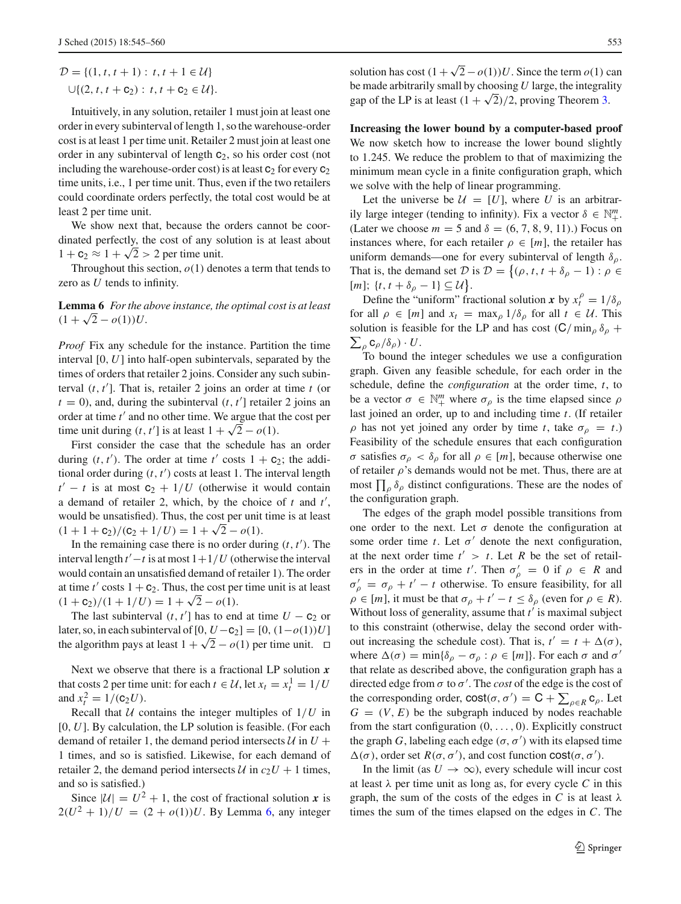$$
\mathcal{D} = \{ (1, t, t + 1) : t, t + 1 \in \mathcal{U} \} \cup \{ (2, t, t + c_2) : t, t + c_2 \in \mathcal{U} \}.
$$

Intuitively, in any solution, retailer 1 must join at least one order in every subinterval of length 1, so the warehouse-order cost is at least 1 per time unit. Retailer 2 must join at least one order in any subinterval of length  $c_2$ , so his order cost (not including the warehouse-order cost) is at least  $c_2$  for every  $c_2$ time units, i.e., 1 per time unit. Thus, even if the two retailers could coordinate orders perfectly, the total cost would be at least 2 per time unit.

We show next that, because the orders cannot be coordinated perfectly, the cost of any solution is at least about  $1 + c_2 \approx 1 + \sqrt{2} > 2$  per time unit.

<span id="page-8-0"></span>Throughout this section, *o*(1) denotes a term that tends to zero as *U* tends to infinity.

**Lemma 6** *For the above instance, the optimal cost is at least*  $(1 + \sqrt{2} - o(1))U$ .

*Proof* Fix any schedule for the instance. Partition the time interval [0, *U*] into half-open subintervals, separated by the times of orders that retailer 2 joins. Consider any such subinterval (*t*, *t* ]. That is, retailer 2 joins an order at time *t* (or  $t = 0$ ), and, during the subinterval  $(t, t')$  retailer 2 joins and order at time *t'* and no other time. We argue that the cost per time unit during (*t*, *t'*] is at least  $1 + \sqrt{2} - o(1)$ .

First consider the case that the schedule has an order during  $(t, t')$ . The order at time  $t'$  costs  $1 + c_2$ ; the additional order during  $(t, t')$  costs at least 1. The interval length  $t' - t$  is at most  $c_2 + 1/U$  (otherwise it would contain a demand of retailer 2, which, by the choice of *t* and *t* , would be unsatisfied). Thus, the cost per unit time is at least  $(1 + 1 + c_2)/(c_2 + 1/U) = 1 + \sqrt{2} - o(1).$ 

In the remaining case there is no order during  $(t, t')$ . The interval length  $t'-t$  is at most  $1+1/U$  (otherwise the interval would contain an unsatisfied demand of retailer 1). The order at time  $t'$  costs  $1 + \mathbf{c}_2$ . Thus, the cost per time unit is at least  $(1 + c_2)/(1 + 1/U) = 1 + \sqrt{2} - o(1).$ 

The last subinterval  $(t, t')$  has to end at time  $U - c_2$  or later, so, in each subinterval of  $[0, U-c_2] = [0, (1-o(1))U]$ the algorithm pays at least  $1 + \sqrt{2} - o(1)$  per time unit.  $\Box$ 

Next we observe that there is a fractional LP solution *x* that costs 2 per time unit: for each  $t \in \mathcal{U}$ , let  $x_t = x_t^1 = 1/U$ and  $x_t^2 = 1/(c_2 U)$ .

Recall that  $U$  contains the integer multiples of  $1/U$  in [0, *U*]. By calculation, the LP solution is feasible. (For each demand of retailer 1, the demand period intersects  $U$  in  $U$  + 1 times, and so is satisfied. Likewise, for each demand of retailer 2, the demand period intersects  $U$  in  $c_2U + 1$  times, and so is satisfied.)

Since  $|\mathcal{U}| = U^2 + 1$ , the cost of fractional solution *x* is  $2(U^2 + 1)/U = (2 + o(1))U$ . By Lemma [6,](#page-8-0) any integer be made arbitrarily small by choosing *U* large, the integrality gap of the LP is at least  $(1 + \sqrt{2})/2$ , proving Theorem [3.](#page-7-1)

**Increasing the lower bound by a computer-based proof** We now sketch how to increase the lower bound slightly to 1.245. We reduce the problem to that of maximizing the minimum mean cycle in a finite configuration graph, which we solve with the help of linear programming.

Let the universe be  $U = [U]$ , where U is an arbitrarily large integer (tending to infinity). Fix a vector  $\delta \in \mathbb{N}^m_+$ . (Later we choose  $m = 5$  and  $\delta = (6, 7, 8, 9, 11)$ .) Focus on instances where, for each retailer  $\rho \in [m]$ , the retailer has uniform demands—one for every subinterval of length  $\delta_{\rho}$ . That is, the demand set  $\mathcal{D}$  is  $\mathcal{D} = \{(\rho, t, t + \delta_\rho - 1) : \rho \in$  $[m]; \{t, t + \delta_\rho - 1\} \subseteq \mathcal{U}$ .

Define the "uniform" fractional solution *x* by  $x_t^{\rho} = 1/\delta_{\rho}$ for all  $\rho \in [m]$  and  $x_t = \max_{\rho} 1/\delta_{\rho}$  for all  $t \in \mathcal{U}$ . This solution is feasible for the LP and has cost  $(C/\min_{\rho} \delta_{\rho} +$  $\sum_{\rho} {\tt C}_{\rho}/\delta_{\rho}) \cdot U.$ 

To bound the integer schedules we use a configuration graph. Given any feasible schedule, for each order in the schedule, define the *configuration* at the order time, *t*, to be a vector  $\sigma \in \mathbb{N}^m_+$  where  $\sigma_\rho$  is the time elapsed since  $\rho$ last joined an order, up to and including time *t*. (If retailer  $\rho$  has not yet joined any order by time *t*, take  $\sigma_{\rho} = t$ .) Feasibility of the schedule ensures that each configuration σ satisfies σρ < δρ for all ρ ∈ [*m*], because otherwise one of retailer  $\rho$ 's demands would not be met. Thus, there are at most  $\prod_{\rho} \delta_{\rho}$  distinct configurations. These are the nodes of the configuration graph.

The edges of the graph model possible transitions from one order to the next. Let  $\sigma$  denote the configuration at some order time *t*. Let  $\sigma'$  denote the next configuration, at the next order time  $t' > t$ . Let R be the set of retailers in the order at time *t'*. Then  $\sigma'_\rho = 0$  if  $\rho \in R$  and  $\sigma'_{\rho} = \sigma_{\rho} + t' - t$  otherwise. To ensure feasibility, for all  $\rho \in [m]$ , it must be that  $\sigma_{\rho} + t' - t \leq \delta_{\rho}$  (even for  $\rho \in R$ ). Without loss of generality, assume that *t* is maximal subject to this constraint (otherwise, delay the second order without increasing the schedule cost). That is,  $t' = t + \Delta(\sigma)$ , where  $\Delta(\sigma) = \min{\delta_\rho - \sigma_\rho : \rho \in [m]}$ . For each  $\sigma$  and  $\sigma'$ that relate as described above, the configuration graph has a directed edge from  $\sigma$  to  $\sigma'$ . The *cost* of the edge is the cost of the corresponding order,  $\text{cost}(\sigma, \sigma') = C + \sum_{\rho \in R} c_{\rho}$ . Let  $G = (V, E)$  be the subgraph induced by nodes reachable from the start configuration  $(0, \ldots, 0)$ . Explicitly construct the graph *G*, labeling each edge  $(\sigma, \sigma')$  with its elapsed time  $\Delta(\sigma)$ , order set  $R(\sigma, \sigma')$ , and cost function cost( $\sigma, \sigma'$ ).

In the limit (as  $U \rightarrow \infty$ ), every schedule will incur cost at least  $\lambda$  per time unit as long as, for every cycle C in this graph, the sum of the costs of the edges in *C* is at least  $\lambda$ times the sum of the times elapsed on the edges in *C*. The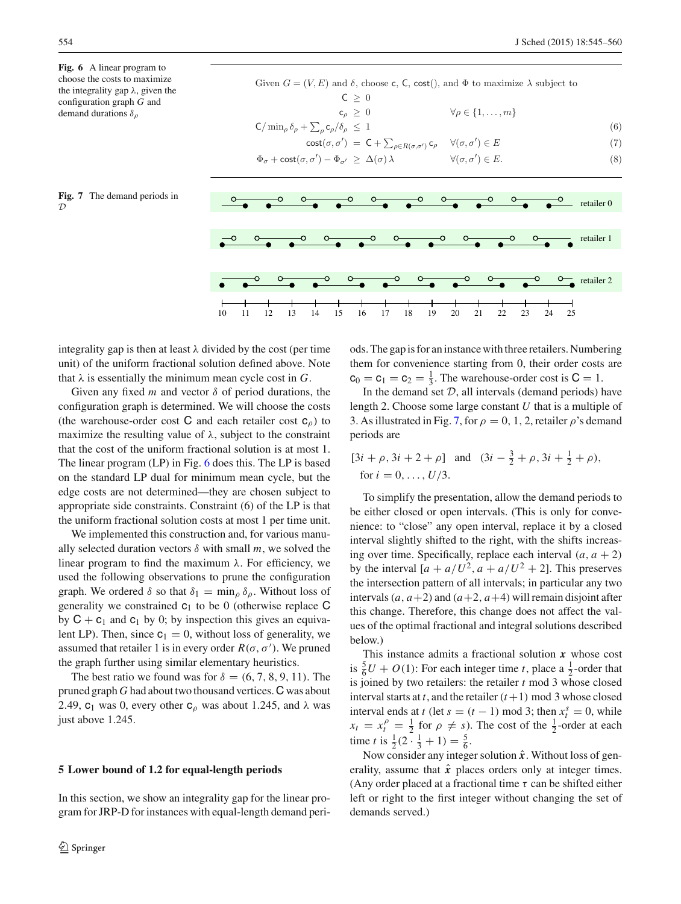<span id="page-9-0"></span>**Fig. 6** A linear program to choose the costs to maximize the integrality gap  $\lambda$ , given the configuration graph *G* and demand durations  $\delta_{\rho}$ 

<span id="page-9-1"></span>

Given  $G = (V, E)$  and  $\delta$ , choose c, C, cost(), and  $\Phi$  to maximize  $\lambda$  subject to  $C \geq 0$ <br> $c_{\rho} \geq 0$  $\forall \rho \in \{1,\ldots,m\}$  $\mathsf{C}/\min_{\rho} \delta_{\rho} + \sum_{\rho} \mathsf{c}_{\rho} / \delta_{\rho} \leq 1$  (6)  $cost(\sigma, \sigma') = C + \sum_{\rho \in R(\sigma, \sigma')} c_{\rho} \quad \forall (\sigma, \sigma') \in E$  (7)  $\Phi_{\sigma} + \text{cost}(\sigma, \sigma') - \Phi_{\sigma'} \geq \Delta(\sigma) \lambda$   $\forall (\sigma, \sigma')$  $\forall (\sigma, \sigma') \in E.$  (8)



integrality gap is then at least  $\lambda$  divided by the cost (per time unit) of the uniform fractional solution defined above. Note that  $\lambda$  is essentially the minimum mean cycle cost in  $G$ .

Given any fixed  $m$  and vector  $\delta$  of period durations, the configuration graph is determined. We will choose the costs (the warehouse-order cost C and each retailer cost  $c_0$ ) to maximize the resulting value of  $\lambda$ , subject to the constraint that the cost of the uniform fractional solution is at most 1. The linear program (LP) in Fig. [6](#page-9-0) does this. The LP is based on the standard LP dual for minimum mean cycle, but the edge costs are not determined—they are chosen subject to appropriate side constraints. Constraint (6) of the LP is that the uniform fractional solution costs at most 1 per time unit.

We implemented this construction and, for various manually selected duration vectors  $\delta$  with small  $m$ , we solved the linear program to find the maximum  $λ$ . For efficiency, we used the following observations to prune the configuration graph. We ordered  $\delta$  so that  $\delta_1 = \min_{\rho} \delta_{\rho}$ . Without loss of generality we constrained  $c_1$  to be 0 (otherwise replace C by  $C + c_1$  and  $c_1$  by 0; by inspection this gives an equivalent LP). Then, since  $c_1 = 0$ , without loss of generality, we assumed that retailer 1 is in every order  $R(\sigma, \sigma')$ . We pruned the graph further using similar elementary heuristics.

The best ratio we found was for  $\delta = (6, 7, 8, 9, 11)$ . The pruned graph *G* had about two thousand vertices.C was about 2.49,  $c_1$  was 0, every other  $c_\rho$  was about 1.245, and  $\lambda$  was just above 1.245.

#### **5 Lower bound of 1.2 for equal-length periods**

In this section, we show an integrality gap for the linear program for JRP-D for instances with equal-length demand periods. The gap is for an instance with three retailers. Numbering them for convenience starting from 0, their order costs are  $c_0 = c_1 = c_2 = \frac{1}{3}$ . The warehouse-order cost is  $C = 1$ .

In the demand set  $D$ , all intervals (demand periods) have length 2. Choose some large constant *U* that is a multiple of 3. As illustrated in Fig. [7,](#page-9-1) for  $\rho = 0, 1, 2$ , retailer  $\rho$ 's demand periods are

$$
[3i + \rho, 3i + 2 + \rho]
$$
 and  $(3i - \frac{3}{2} + \rho, 3i + \frac{1}{2} + \rho),$   
for  $i = 0, ..., U/3$ .

To simplify the presentation, allow the demand periods to be either closed or open intervals. (This is only for convenience: to "close" any open interval, replace it by a closed interval slightly shifted to the right, with the shifts increasing over time. Specifically, replace each interval  $(a, a + 2)$ by the interval  $[a + a/U^2, a + a/U^2 + 2]$ . This preserves the intersection pattern of all intervals; in particular any two intervals  $(a, a+2)$  and  $(a+2, a+4)$  will remain disjoint after this change. Therefore, this change does not affect the values of the optimal fractional and integral solutions described below.)

This instance admits a fractional solution *x* whose cost is  $\frac{5}{6}U + O(1)$ : For each integer time *t*, place a  $\frac{1}{2}$ -order that is joined by two retailers: the retailer *t* mod 3 whose closed interval starts at *t*, and the retailer  $(t+1)$  mod 3 whose closed interval ends at *t* (let  $s = (t - 1) \text{ mod } 3$ ; then  $x_t^s = 0$ , while  $x_t = x_t^{\rho} = \frac{1}{2}$  for  $\rho \neq s$ ). The cost of the  $\frac{1}{2}$ -order at each time *t* is  $\frac{1}{2}(2 \cdot \frac{1}{3} + 1) = \frac{5}{6}$ .

Now consider any integer solution  $\hat{x}$ . Without loss of generality, assume that  $\hat{x}$  places orders only at integer times. (Any order placed at a fractional time  $\tau$  can be shifted either left or right to the first integer without changing the set of demands served.)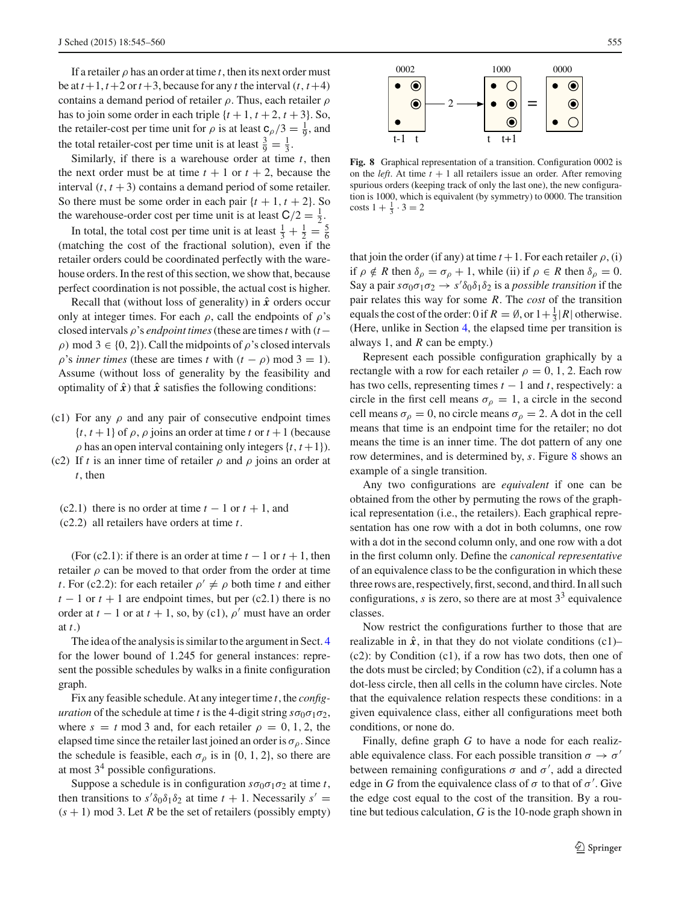If a retailer  $\rho$  has an order at time *t*, then its next order must be at  $t+1$ ,  $t+2$  or  $t+3$ , because for any  $t$  the interval  $(t, t+4)$ contains a demand period of retailer  $\rho$ . Thus, each retailer  $\rho$ has to join some order in each triple  $\{t + 1, t + 2, t + 3\}$ . So, the retailer-cost per time unit for  $\rho$  is at least  $\frac{\rho}{\rho/3} = \frac{1}{9}$ , and the total retailer-cost per time unit is at least  $\frac{3}{9} = \frac{1}{3}$ .

Similarly, if there is a warehouse order at time *t*, then the next order must be at time  $t + 1$  or  $t + 2$ , because the interval  $(t, t + 3)$  contains a demand period of some retailer. So there must be some order in each pair  $\{t + 1, t + 2\}$ . So the warehouse-order cost per time unit is at least  $C/2 = \frac{1}{2}$ .

In total, the total cost per time unit is at least  $\frac{1}{3} + \frac{1}{2} = \frac{5}{6}$ (matching the cost of the fractional solution), even if the retailer orders could be coordinated perfectly with the warehouse orders. In the rest of this section, we show that, because perfect coordination is not possible, the actual cost is higher.

Recall that (without loss of generality) in  $\hat{x}$  orders occur only at integer times. For each  $\rho$ , call the endpoints of  $\rho$ 's closed intervals  $\rho$ 's *endpoint times* (these are times *t* with (*t* −  $ρ$ ) mod 3 ∈ {0, 2}). Call the midpoints of  $ρ$ 's closed intervals  $\rho$ 's *inner times* (these are times *t* with  $(t - \rho)$  mod 3 = 1). Assume (without loss of generality by the feasibility and optimality of  $\hat{x}$ ) that  $\hat{x}$  satisfies the following conditions:

- (c1) For any  $\rho$  and any pair of consecutive endpoint times  $\{t, t+1\}$  of  $\rho$ ,  $\rho$  joins an order at time *t* or  $t+1$  (because  $\rho$  has an open interval containing only integers  $\{t, t+1\}$ .
- (c2) If *t* is an inner time of retailer  $\rho$  and  $\rho$  joins an order at *t*, then
	- (c2.1) there is no order at time  $t 1$  or  $t + 1$ , and
	- (c2.2) all retailers have orders at time *t*.

(For (c2.1): if there is an order at time  $t - 1$  or  $t + 1$ , then retailer  $\rho$  can be moved to that order from the order at time *t*. For (c2.2): for each retailer  $\rho' \neq \rho$  both time *t* and either  $t - 1$  or  $t + 1$  are endpoint times, but per (c2.1) there is no order at  $t - 1$  or at  $t + 1$ , so, by (c1),  $\rho'$  must have an order at *t*.)

The idea of the analysis is similar to the argument in Sect. [4](#page-7-2) for the lower bound of 1.245 for general instances: represent the possible schedules by walks in a finite configuration graph.

Fix any feasible schedule. At any integer time *t*, the *configuration* of the schedule at time *t* is the 4-digit string  $s\sigma_0\sigma_1\sigma_2$ , where  $s = t \mod 3$  and, for each retailer  $\rho = 0, 1, 2$ , the elapsed time since the retailer last joined an order is  $\sigma_{\rho}$ . Since the schedule is feasible, each  $\sigma_{\rho}$  is in {0, 1, 2}, so there are at most  $3<sup>4</sup>$  possible configurations.

Suppose a schedule is in configuration  $s\sigma_0\sigma_1\sigma_2$  at time *t*, then transitions to  $s' \delta_0 \delta_1 \delta_2$  at time  $t + 1$ . Necessarily  $s' =$  $(s + 1)$  mod 3. Let *R* be the set of retailers (possibly empty)



<span id="page-10-0"></span>**Fig. 8** Graphical representation of a transition. Configuration 0002 is on the *left*. At time  $t + 1$  all retailers issue an order. After removing spurious orders (keeping track of only the last one), the new configuration is 1000, which is equivalent (by symmetry) to 0000. The transition costs  $1 + \frac{1}{3} \cdot 3 = 2$ 

that join the order (if any) at time  $t + 1$ . For each retailer  $\rho$ , (i) if  $\rho \notin R$  then  $\delta_{\rho} = \sigma_{\rho} + 1$ , while (ii) if  $\rho \in R$  then  $\delta_{\rho} = 0$ . Say a pair  $s\sigma_0\sigma_1\sigma_2 \rightarrow s'\delta_0\delta_1\delta_2$  is a *possible transition* if the pair relates this way for some *R*. The *cost* of the transition equals the cost of the order: 0 if  $R = \emptyset$ , or  $1 + \frac{1}{3} |R|$  otherwise. (Here, unlike in Section [4,](#page-7-2) the elapsed time per transition is always 1, and *R* can be empty.)

Represent each possible configuration graphically by a rectangle with a row for each retailer  $\rho = 0, 1, 2$ . Each row has two cells, representing times  $t - 1$  and  $t$ , respectively: a circle in the first cell means  $\sigma_0 = 1$ , a circle in the second cell means  $\sigma_{\rho} = 0$ , no circle means  $\sigma_{\rho} = 2$ . A dot in the cell means that time is an endpoint time for the retailer; no dot means the time is an inner time. The dot pattern of any one row determines, and is determined by, *s*. Figure [8](#page-10-0) shows an example of a single transition.

Any two configurations are *equivalent* if one can be obtained from the other by permuting the rows of the graphical representation (i.e., the retailers). Each graphical representation has one row with a dot in both columns, one row with a dot in the second column only, and one row with a dot in the first column only. Define the *canonical representative* of an equivalence class to be the configuration in which these three rows are, respectively, first, second, and third. In all such configurations,  $s$  is zero, so there are at most  $3<sup>3</sup>$  equivalence classes.

Now restrict the configurations further to those that are realizable in  $\hat{x}$ , in that they do not violate conditions (c1)– (c2): by Condition (c1), if a row has two dots, then one of the dots must be circled; by Condition (c2), if a column has a dot-less circle, then all cells in the column have circles. Note that the equivalence relation respects these conditions: in a given equivalence class, either all configurations meet both conditions, or none do.

Finally, define graph *G* to have a node for each realizable equivalence class. For each possible transition  $\sigma \to \sigma'$ between remaining configurations  $\sigma$  and  $\sigma'$ , add a directed edge in *G* from the equivalence class of  $\sigma$  to that of  $\sigma'$ . Give the edge cost equal to the cost of the transition. By a routine but tedious calculation, *G* is the 10-node graph shown in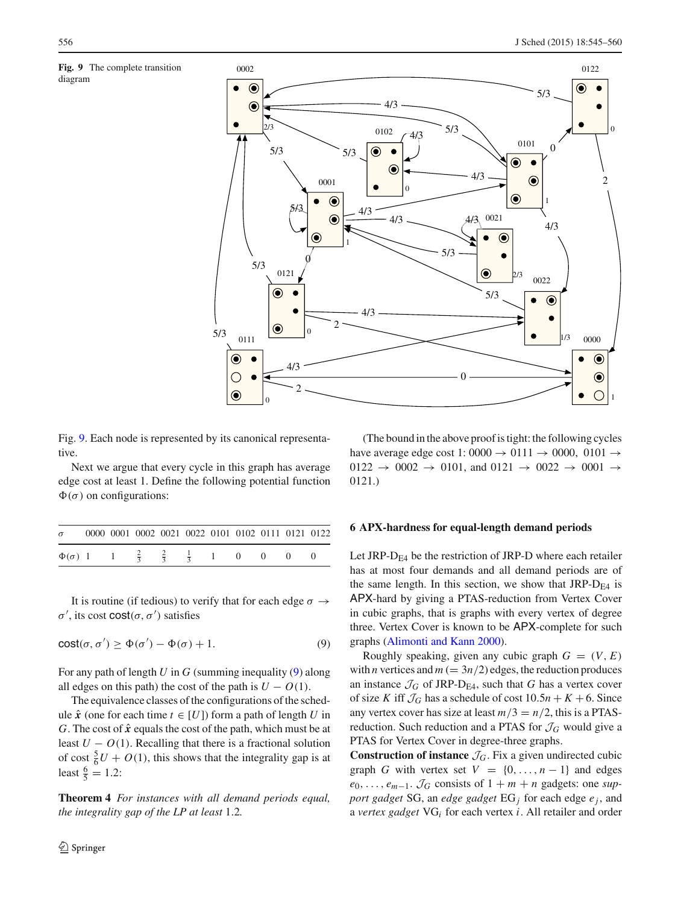<span id="page-11-0"></span>



Fig. [9.](#page-11-0) Each node is represented by its canonical representative.

Next we argue that every cycle in this graph has average edge cost at least 1. Define the following potential function  $\Phi(\sigma)$  on configurations:

| $\sigma$                                                             |  | 0000 0001 0002 0021 0022 0101 0102 0111 0121 0122 |  |  |  |  |
|----------------------------------------------------------------------|--|---------------------------------------------------|--|--|--|--|
| $\Phi(\sigma)$ 1 1 $\frac{2}{3}$ $\frac{2}{3}$ $\frac{1}{3}$ 1 0 0 0 |  |                                                   |  |  |  |  |

It is routine (if tedious) to verify that for each edge  $\sigma \rightarrow$  $\sigma'$ , its cost cost( $\sigma$ ,  $\sigma'$ ) satisfies

<span id="page-11-1"></span>
$$
cost(\sigma, \sigma') \ge \Phi(\sigma') - \Phi(\sigma) + 1.
$$
\n(9)

For any path of length *U* in *G* (summing inequality [\(9\)](#page-11-1) along all edges on this path) the cost of the path is  $U - O(1)$ .

The equivalence classes of the configurations of the schedule  $\hat{x}$  (one for each time *t* ∈ [*U*]) form a path of length *U* in *G*. The cost of  $\hat{x}$  equals the cost of the path, which must be at least  $U - O(1)$ . Recalling that there is a fractional solution of cost  $\frac{5}{6}U + O(1)$ , this shows that the integrality gap is at least  $\frac{6}{5} = 1.2$ :

**Theorem 4** *For instances with all demand periods equal, the integrality gap of the LP at least* 1.2*.*

(The bound in the above proof is tight: the following cycles have average edge cost 1: 0000  $\rightarrow$  0111  $\rightarrow$  0000, 0101  $\rightarrow$  $0122 \rightarrow 0002 \rightarrow 0101$ , and  $0121 \rightarrow 0022 \rightarrow 0001 \rightarrow$ 0121.)

#### **6 APX-hardness for equal-length demand periods**

Let JRP- $D_{FA}$  be the restriction of JRP-D where each retailer has at most four demands and all demand periods are of the same length. In this section, we show that  $JRP-D_{E4}$  is APX-hard by giving a PTAS-reduction from Vertex Cover in cubic graphs, that is graphs with every vertex of degree three. Vertex Cover is known to be APX-complete for such graphs [\(Alimonti and Kann 2000\)](#page-15-10).

Roughly speaking, given any cubic graph  $G = (V, E)$ with *n* vertices and  $m (= 3n/2)$  edges, the reduction produces an instance  $\mathcal{J}_G$  of JRP-D<sub>E4</sub>, such that *G* has a vertex cover of size *K* iff  $\mathcal{J}_G$  has a schedule of cost  $10.5n + K + 6$ . Since any vertex cover has size at least  $m/3 = n/2$ , this is a PTASreduction. Such reduction and a PTAS for  $\mathcal{J}_G$  would give a PTAS for Vertex Cover in degree-three graphs.

**Construction of instance**  $\mathcal{J}_G$ . Fix a given undirected cubic graph *G* with vertex set  $V = \{0, \ldots, n-1\}$  and edges  $e_0, \ldots, e_{m-1}$ .  $\mathcal{J}_G$  consists of  $1 + m + n$  gadgets: one *support gadget* SG, an *edge gadget* EG*<sup>j</sup>* for each edge *e <sup>j</sup>* , and a *vertex gadget* VG*<sup>i</sup>* for each vertex *i*. All retailer and order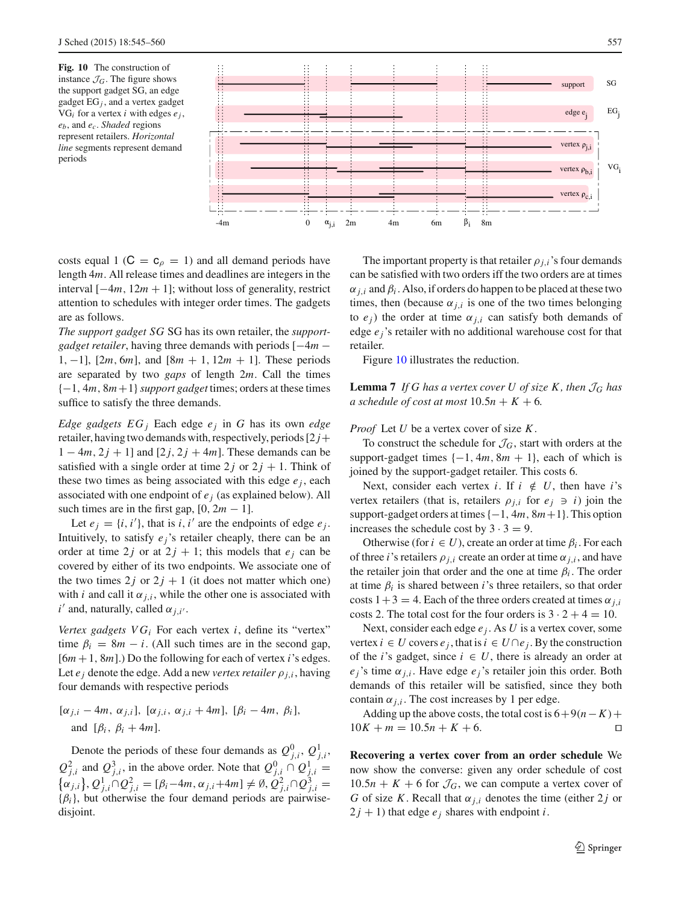<span id="page-12-0"></span>**Fig. 10** The construction of instance  $\mathcal{J}_G$ . The figure shows the support gadget SG, an edge gadget EG*j* , and a vertex gadget  $VG_i$  for a vertex *i* with edges  $e_i$ , *eb*, and *ec*. *Shaded* regions represent retailers. *Horizontal line* segments represent demand periods



costs equal 1 ( $C = c<sub>\rho</sub> = 1$ ) and all demand periods have length 4*m*. All release times and deadlines are integers in the interval [−4*m*, 12*m* + 1]; without loss of generality, restrict attention to schedules with integer order times. The gadgets are as follows.

*The support gadget SG* SG has its own retailer, the *supportgadget retailer*, having three demands with periods [−4*m* − 1, −1], [2*m*, 6*m*], and [8*m* + 1, 12*m* + 1]. These periods are separated by two *gaps* of length 2*m*. Call the times {−1, 4*m*, 8*m*+1}*support gadget* times; orders at these times suffice to satisfy the three demands.

*Edge gadgets EG j* Each edge  $e_j$  in *G* has its own *edge* retailer, having two demands with, respectively, periods  $[2 j+$  $1 - 4m$ ,  $2j + 1$ ] and  $[2j, 2j + 4m]$ . These demands can be satisfied with a single order at time  $2j$  or  $2j + 1$ . Think of these two times as being associated with this edge  $e_i$ , each associated with one endpoint of *e <sup>j</sup>* (as explained below). All such times are in the first gap,  $[0, 2m - 1]$ .

Let  $e_j = \{i, i'\}$ , that is *i*, *i'* are the endpoints of edge  $e_j$ . Intuitively, to satisfy  $e_i$ 's retailer cheaply, there can be an order at time 2*j* or at  $2j + 1$ ; this models that  $e_j$  can be covered by either of its two endpoints. We associate one of the two times  $2j$  or  $2j + 1$  (it does not matter which one) with *i* and call it  $\alpha_{j,i}$ , while the other one is associated with  $i'$  and, naturally, called  $\alpha_{j,i'}$ .

*Vertex gadgets*  $VG_i$  For each vertex  $i$ , define its "vertex" time  $\beta_i = 8m - i$ . (All such times are in the second gap, [6*m* +1, 8*m*].) Do the following for each of vertex *i*'s edges. Let  $e_j$  denote the edge. Add a new *vertex retailer*  $\rho_{j,i}$ , having four demands with respective periods

$$
[\alpha_{j,i}-4m, \alpha_{j,i}], [\alpha_{j,i}, \alpha_{j,i}+4m], [\beta_i-4m, \beta_i],
$$
  
and  $[\beta_i, \beta_i+4m].$ 

Denote the periods of these four demands as  $Q_{j,i}^0$ ,  $Q_{j,i}^1$ ,  $Q_{j,i}^2$  and  $Q_{j,i}^3$ , in the above order. Note that  $Q_{j,i}^0 \cap Q_{j,i}^1 =$  $\{\alpha_{j,i}\}, Q_{j,i}^1 \cap Q_{j,i}^2 = [\beta_i - 4m, \alpha_{j,i} + 4m] \neq \emptyset, Q_{j,i}^2 \cap Q_{j,i}^3 =$  ${\lbrace \beta_i \rbrace}$ , but otherwise the four demand periods are pairwisedisjoint.

The important property is that retailer  $\rho_{i,i}$ 's four demands can be satisfied with two orders iff the two orders are at times  $\alpha_{j,i}$  and  $\beta_i$ . Also, if orders do happen to be placed at these two times, then (because  $\alpha_{j,i}$  is one of the two times belonging to  $e_j$ ) the order at time  $\alpha_{j,i}$  can satisfy both demands of edge *e <sup>j</sup>*'s retailer with no additional warehouse cost for that retailer.

Figure [10](#page-12-0) illustrates the reduction.

<span id="page-12-1"></span>**Lemma 7** *If G has a vertex cover U of size K, then*  $\mathcal{J}_G$  *has a schedule of cost at most*  $10.5n + K + 6$ .

## *Proof* Let *U* be a vertex cover of size *K*.

To construct the schedule for  $\mathcal{J}_G$ , start with orders at the support-gadget times  $\{-1, 4m, 8m + 1\}$ , each of which is joined by the support-gadget retailer. This costs 6.

Next, consider each vertex *i*. If  $i \notin U$ , then have *i*'s vertex retailers (that is, retailers  $\rho_{i,i}$  for  $e_i \ni i$ ) join the support-gadget orders at times{−1, 4*m*, 8*m*+1}. This option increases the schedule cost by  $3 \cdot 3 = 9$ .

Otherwise (for  $i \in U$ ), create an order at time  $\beta_i$ . For each of three *i*'s retailers  $\rho_{i,i}$  create an order at time  $\alpha_{i,i}$ , and have the retailer join that order and the one at time  $\beta_i$ . The order at time  $\beta_i$  is shared between *i*'s three retailers, so that order costs  $1+3 = 4$ . Each of the three orders created at times  $\alpha_{i,i}$ costs 2. The total cost for the four orders is  $3 \cdot 2 + 4 = 10$ .

Next, consider each edge *e <sup>j</sup>* . As *U* is a vertex cover, some vertex  $i \in U$  covers  $e_i$ , that is  $i \in U \cap e_i$ . By the construction of the *i*'s gadget, since  $i \in U$ , there is already an order at  $e_i$ 's time  $\alpha_{i,i}$ . Have edge  $e_i$ 's retailer join this order. Both demands of this retailer will be satisfied, since they both contain  $\alpha_{j,i}$ . The cost increases by 1 per edge.

Adding up the above costs, the total cost is  $6+9(n-K)+$ <br> $K + m = 10.5n + K + 6.$  $10K + m = 10.5n + K + 6.$ 

**Recovering a vertex cover from an order schedule** We now show the converse: given any order schedule of cost  $10.5n + K + 6$  for  $\mathcal{J}_G$ , we can compute a vertex cover of *G* of size *K*. Recall that  $\alpha_{j,i}$  denotes the time (either 2*j* or  $2j + 1$ ) that edge  $e_j$  shares with endpoint *i*.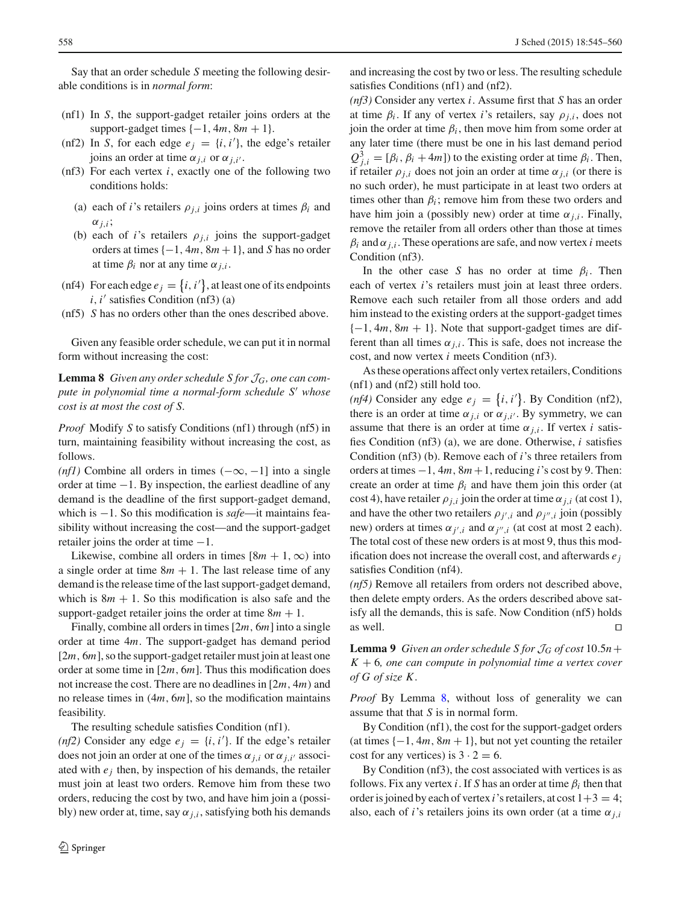Say that an order schedule *S* meeting the following desirable conditions is in *normal form*:

- (nf1) In *S*, the support-gadget retailer joins orders at the support-gadget times  $\{-1, 4m, 8m + 1\}$ .
- (nf2) In *S*, for each edge  $e_j = \{i, i'\}$ , the edge's retailer joins an order at time  $\alpha_{j,i}$  or  $\alpha_{j,i'}$ .
- (nf3) For each vertex *i*, exactly one of the following two conditions holds:
	- (a) each of *i*'s retailers  $\rho_{i,i}$  joins orders at times  $\beta_i$  and  $\alpha_{j,i}$ ;
	- (b) each of *i*'s retailers  $\rho_{i,i}$  joins the support-gadget orders at times  $\{-1, 4m, 8m + 1\}$ , and *S* has no order at time  $\beta_i$  nor at any time  $\alpha_{i,i}$ .
- (nf4) For each edge  $e_j = \{i, i'\}$ , at least one of its endpoints  $i$ ,  $i'$  satisfies Condition (nf3) (a)
- (nf5) *S* has no orders other than the ones described above.

<span id="page-13-0"></span>Given any feasible order schedule, we can put it in normal form without increasing the cost:

**Lemma 8** *Given any order schedule S for* J*G, one can compute in polynomial time a normal-form schedule S whose cost is at most the cost of S.*

*Proof* Modify *S* to satisfy Conditions (nf1) through (nf5) in turn, maintaining feasibility without increasing the cost, as follows.

*(nf1)* Combine all orders in times  $(-\infty, -1]$  into a single order at time −1. By inspection, the earliest deadline of any demand is the deadline of the first support-gadget demand, which is −1. So this modification is *safe*—it maintains feasibility without increasing the cost—and the support-gadget retailer joins the order at time  $-1$ .

Likewise, combine all orders in times  $[8m + 1, \infty)$  into a single order at time  $8m + 1$ . The last release time of any demand is the release time of the last support-gadget demand, which is  $8m + 1$ . So this modification is also safe and the support-gadget retailer joins the order at time  $8m + 1$ .

Finally, combine all orders in times[2*m*, 6*m*] into a single order at time 4*m*. The support-gadget has demand period [2*m*, 6*m*], so the support-gadget retailer must join at least one order at some time in [2*m*, 6*m*]. Thus this modification does not increase the cost. There are no deadlines in [2*m*, 4*m*) and no release times in (4*m*, 6*m*], so the modification maintains feasibility.

The resulting schedule satisfies Condition (nf1).

(*nf2*) Consider any edge  $e_j = \{i, i'\}$ . If the edge's retailer does not join an order at one of the times  $\alpha_{j,i}$  or  $\alpha_{j,i'}$  associated with  $e_i$  then, by inspection of his demands, the retailer must join at least two orders. Remove him from these two orders, reducing the cost by two, and have him join a (possibly) new order at, time, say  $\alpha_{j,i}$ , satisfying both his demands and increasing the cost by two or less. The resulting schedule satisfies Conditions (nf1) and (nf2).

*(nf3)* Consider any vertex *i*. Assume first that *S* has an order at time  $\beta_i$ . If any of vertex *i*'s retailers, say  $\rho_{i,i}$ , does not join the order at time  $\beta_i$ , then move him from some order at any later time (there must be one in his last demand period  $Q_{j,i}^3 = [\beta_i, \beta_i + 4m]$ ) to the existing order at time  $\beta_i$ . Then, if retailer  $\rho_{i,i}$  does not join an order at time  $\alpha_{i,i}$  (or there is no such order), he must participate in at least two orders at times other than  $\beta_i$ ; remove him from these two orders and have him join a (possibly new) order at time  $\alpha_{j,i}$ . Finally, remove the retailer from all orders other than those at times  $\beta_i$  and  $\alpha_{i,i}$ . These operations are safe, and now vertex *i* meets Condition (nf3).

In the other case *S* has no order at time  $\beta_i$ . Then each of vertex *i*'s retailers must join at least three orders. Remove each such retailer from all those orders and add him instead to the existing orders at the support-gadget times {−1, 4*m*, 8*m* + 1}. Note that support-gadget times are different than all times  $\alpha_{j,i}$ . This is safe, does not increase the cost, and now vertex *i* meets Condition (nf3).

As these operations affect only vertex retailers, Conditions (nf1) and (nf2) still hold too.

(*nf4*) Consider any edge  $e_j = \{i, i'\}$ . By Condition (nf2), there is an order at time  $\alpha_{j,i}$  or  $\alpha_{j,i'}$ . By symmetry, we can assume that there is an order at time  $\alpha_{i,i}$ . If vertex *i* satisfies Condition (nf3) (a), we are done. Otherwise, *i* satisfies Condition (nf3) (b). Remove each of *i*'s three retailers from orders at times −1, 4*m*, 8*m* +1, reducing *i*'s cost by 9. Then: create an order at time  $\beta_i$  and have them join this order (at cost 4), have retailer  $\rho_{i,i}$  join the order at time  $\alpha_{i,i}$  (at cost 1), and have the other two retailers  $\rho_{j',i}$  and  $\rho_{j'',i}$  join (possibly new) orders at times  $\alpha_{j',i}$  and  $\alpha_{j'',i}$  (at cost at most 2 each). The total cost of these new orders is at most 9, thus this modification does not increase the overall cost, and afterwards *e <sup>j</sup>* satisfies Condition (nf4).

*(nf5)* Remove all retailers from orders not described above, then delete empty orders. As the orders described above satisfy all the demands, this is safe. Now Condition (nf5) holds as well.  $\Box$ 

<span id="page-13-1"></span>**Lemma 9** *Given an order schedule S for*  $J_G$  *of cost* 10.5*n* + *K* + 6*, one can compute in polynomial time a vertex cover of G of size K .*

*Proof* By Lemma [8,](#page-13-0) without loss of generality we can assume that that *S* is in normal form.

By Condition (nf1), the cost for the support-gadget orders (at times  $\{-1, 4m, 8m + 1\}$ , but not yet counting the retailer cost for any vertices) is  $3 \cdot 2 = 6$ .

By Condition (nf3), the cost associated with vertices is as follows. Fix any vertex *i*. If *S* has an order at time  $\beta_i$  then that order is joined by each of vertex *i*'s retailers, at cost  $1+3 = 4$ ; also, each of *i*'s retailers joins its own order (at a time  $\alpha_{i,i}$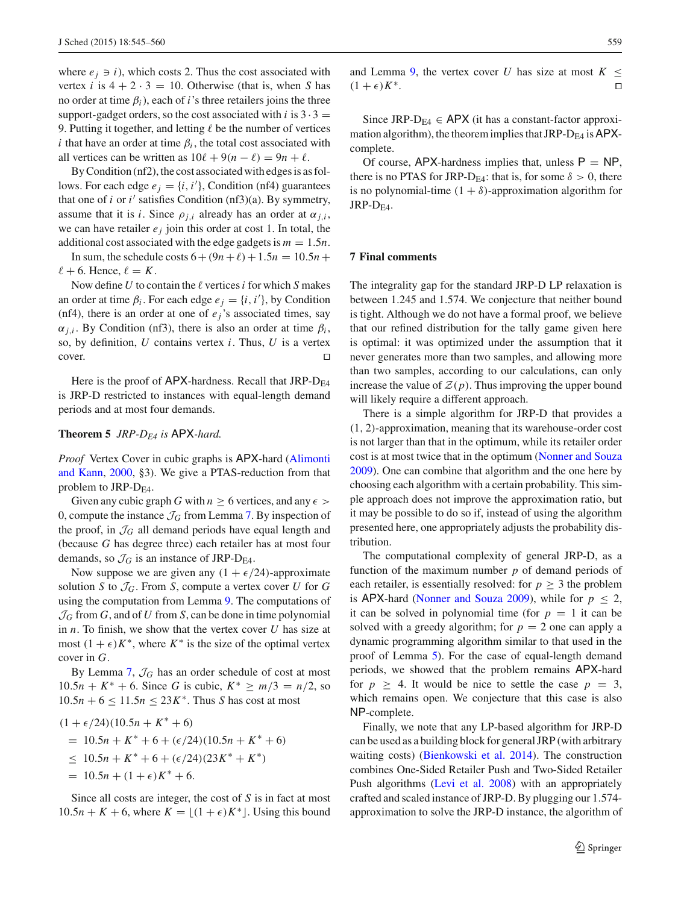where  $e_i \ni i$ , which costs 2. Thus the cost associated with vertex *i* is  $4 + 2 \cdot 3 = 10$ . Otherwise (that is, when *S* has no order at time β*i*), each of *i*'s three retailers joins the three support-gadget orders, so the cost associated with  $i$  is  $3 \cdot 3 =$ 9. Putting it together, and letting  $\ell$  be the number of vertices *i* that have an order at time  $\beta_i$ , the total cost associated with all vertices can be written as  $10\ell + 9(n - \ell) = 9n + \ell$ .

By Condition (nf2), the cost associated with edges is as follows. For each edge  $e_j = \{i, i'\}$ , Condition (nf4) guarantees that one of  $i$  or  $i'$  satisfies Condition (nf3)(a). By symmetry, assume that it is *i*. Since  $\rho_{i,i}$  already has an order at  $\alpha_{i,i}$ , we can have retailer  $e_j$  join this order at cost 1. In total, the additional cost associated with the edge gadgets is  $m = 1.5n$ .

In sum, the schedule costs  $6 + (9n + \ell) + 1.5n = 10.5n +$  $\ell + 6$ . Hence,  $\ell = K$ .

Now define  $U$  to contain the  $\ell$  vertices  $i$  for which  $S$  makes an order at time  $\beta_i$ . For each edge  $e_j = \{i, i'\}$ , by Condition (nf4), there is an order at one of  $e_j$ 's associated times, say  $\alpha_{j,i}$ . By Condition (nf3), there is also an order at time  $\beta_i$ , so, by definition, *U* contains vertex *i*. Thus, *U* is a vertex  $\Box$ cover.

Here is the proof of  $APX$ -hardness. Recall that JRP- $D_{FA}$ is JRP-D restricted to instances with equal-length demand periods and at most four demands.

## **Theorem 5** *JRP-DE4 is* APX*-hard.*

*Proof* Ve[rtex](#page-15-10) [Cover](#page-15-10) [in](#page-15-10) [cubic](#page-15-10) [graphs](#page-15-10) [is](#page-15-10) APX-hard (Alimonti and Kann, [2000,](#page-15-10) §3). We give a PTAS-reduction from that problem to JRP- $D_{FA}$ .

Given any cubic graph *G* with  $n \geq 6$  vertices, and any  $\epsilon$ 0, compute the instance  $\mathcal{J}_G$  from Lemma [7.](#page-12-1) By inspection of the proof, in  $\mathcal{J}_G$  all demand periods have equal length and (because *G* has degree three) each retailer has at most four demands, so  $\mathcal{J}_G$  is an instance of JRP-D<sub>E4</sub>.

Now suppose we are given any  $(1 + \epsilon/24)$ -approximate solution *S* to  $\mathcal{J}_G$ . From *S*, compute a vertex cover *U* for *G* using the computation from Lemma [9.](#page-13-1) The computations of  $\mathcal{J}_G$  from  $G$ , and of  $U$  from  $S$ , can be done in time polynomial in *n*. To finish, we show that the vertex cover *U* has size at most  $(1 + \epsilon)K^*$ , where  $K^*$  is the size of the optimal vertex cover in *G*.

By Lemma [7,](#page-12-1)  $\mathcal{J}_G$  has an order schedule of cost at most 10.5*n* + *K*<sup>∗</sup> + 6. Since *G* is cubic,  $K$ <sup>∗</sup> ≥ *m*/3 = *n*/2, so  $10.5n + 6 \le 11.5n \le 23K^*$ . Thus *S* has cost at most

$$
(1 + \epsilon/24)(10.5n + K^* + 6)
$$
  
= 10.5n + K^\* + 6 + (\epsilon/24)(10.5n + K^\* + 6)  

$$
\leq 10.5n + K^* + 6 + (\epsilon/24)(23K^* + K^*)
$$
  
= 10.5n + (1 + \epsilon)K^\* + 6.

Since all costs are integer, the cost of *S* is in fact at most  $10.5n + K + 6$ , where  $K = \lfloor (1 + \epsilon)K^* \rfloor$ . Using this bound and Lemma [9,](#page-13-1) the vertex cover *U* has size at most  $K <$  $(1 + \epsilon)K^*$ .

Since JRP-D<sub>E4</sub>  $\in$  APX (it has a constant-factor approximation algorithm), the theorem implies that JRP- $D_{E4}$  is APXcomplete.

Of course,  $APX$ -hardness implies that, unless  $P = NP$ , there is no PTAS for JRP-D<sub>E4</sub>: that is, for some  $\delta > 0$ , there is no polynomial-time  $(1 + \delta)$ -approximation algorithm for  $JRP-D<sub>E4</sub>$ .

## **7 Final comments**

The integrality gap for the standard JRP-D LP relaxation is between 1.245 and 1.574. We conjecture that neither bound is tight. Although we do not have a formal proof, we believe that our refined distribution for the tally game given here is optimal: it was optimized under the assumption that it never generates more than two samples, and allowing more than two samples, according to our calculations, can only increase the value of  $\mathcal{Z}(p)$ . Thus improving the upper bound will likely require a different approach.

There is a simple algorithm for JRP-D that provides a (1, 2)-approximation, meaning that its warehouse-order cost is not larger than that in the optimum, while its retailer order cost is at most twice that in the optimum [\(Nonner and Souza](#page-15-1) [2009](#page-15-1)). One can combine that algorithm and the one here by choosing each algorithm with a certain probability. This simple approach does not improve the approximation ratio, but it may be possible to do so if, instead of using the algorithm presented here, one appropriately adjusts the probability distribution.

The computational complexity of general JRP-D, as a function of the maximum number *p* of demand periods of each retailer, is essentially resolved: for  $p \geq 3$  the problem is APX-hard [\(Nonner and Souza 2009](#page-15-1)), while for  $p \leq 2$ , it can be solved in polynomial time (for  $p = 1$  it can be solved with a greedy algorithm; for  $p = 2$  one can apply a dynamic programming algorithm similar to that used in the proof of Lemma [5\)](#page-6-0). For the case of equal-length demand periods, we showed that the problem remains APX-hard for  $p \geq 4$ . It would be nice to settle the case  $p = 3$ , which remains open. We conjecture that this case is also NP-complete.

Finally, we note that any LP-based algorithm for JRP-D can be used as a building block for general JRP (with arbitrary waiting costs) [\(Bienkowski et al. 2014\)](#page-15-11). The construction combines One-Sided Retailer Push and Two-Sided Retailer Push algorithms [\(Levi et al. 2008\)](#page-15-3) with an appropriately crafted and scaled instance of JRP-D. By plugging our 1.574 approximation to solve the JRP-D instance, the algorithm of